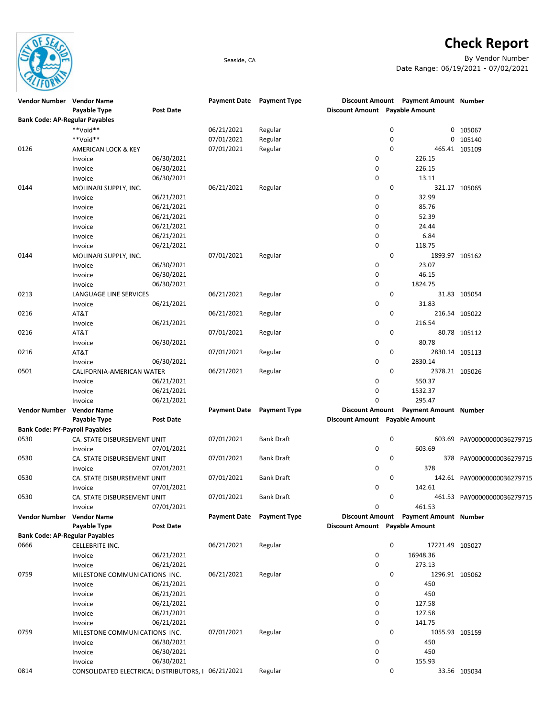

## **Check Report**

Seaside, CA By Vendor Number Date Range: 06/19/2021 - 07/02/2021

| Vendor Number Vendor Name             |                                                    |                  | Payment Date Payment Type |                     |                                |             | Discount Amount Payment Amount Number |                             |
|---------------------------------------|----------------------------------------------------|------------------|---------------------------|---------------------|--------------------------------|-------------|---------------------------------------|-----------------------------|
|                                       | Payable Type                                       | <b>Post Date</b> |                           |                     | Discount Amount Payable Amount |             |                                       |                             |
| <b>Bank Code: AP-Regular Payables</b> |                                                    |                  |                           |                     |                                |             |                                       |                             |
|                                       | **Void**                                           |                  | 06/21/2021                | Regular             |                                | 0           |                                       | 0 105067                    |
|                                       | **Void**                                           |                  | 07/01/2021                | Regular             |                                | 0           | 0                                     | 105140                      |
| 0126                                  | AMERICAN LOCK & KEY                                |                  | 07/01/2021                | Regular             |                                | 0           |                                       | 465.41 105109               |
|                                       | Invoice                                            | 06/30/2021       |                           |                     | 0                              |             | 226.15                                |                             |
|                                       | Invoice                                            | 06/30/2021       |                           |                     | 0                              |             | 226.15                                |                             |
|                                       | Invoice                                            | 06/30/2021       |                           |                     | 0                              |             | 13.11                                 |                             |
| 0144                                  | MOLINARI SUPPLY, INC.                              |                  | 06/21/2021                | Regular             |                                | 0           |                                       | 321.17 105065               |
|                                       | Invoice                                            | 06/21/2021       |                           |                     | 0                              |             | 32.99                                 |                             |
|                                       | Invoice                                            | 06/21/2021       |                           |                     | 0                              |             | 85.76                                 |                             |
|                                       | Invoice                                            | 06/21/2021       |                           |                     | 0                              |             | 52.39                                 |                             |
|                                       | Invoice                                            | 06/21/2021       |                           |                     | 0                              |             | 24.44                                 |                             |
|                                       | Invoice                                            | 06/21/2021       |                           |                     | 0                              |             | 6.84                                  |                             |
|                                       | Invoice                                            | 06/21/2021       |                           |                     | 0                              |             | 118.75                                |                             |
| 0144                                  | MOLINARI SUPPLY, INC.                              |                  | 07/01/2021                | Regular             |                                | $\mathbf 0$ | 1893.97 105162                        |                             |
|                                       | Invoice                                            | 06/30/2021       |                           |                     | 0                              |             | 23.07                                 |                             |
|                                       | Invoice                                            | 06/30/2021       |                           |                     | 0                              |             | 46.15                                 |                             |
|                                       | Invoice                                            | 06/30/2021       |                           |                     | 0                              |             | 1824.75                               |                             |
| 0213                                  | LANGUAGE LINE SERVICES                             |                  | 06/21/2021                | Regular             |                                | 0           |                                       | 31.83 105054                |
|                                       | Invoice                                            | 06/21/2021       |                           |                     | 0                              |             | 31.83                                 |                             |
| 0216                                  |                                                    |                  | 06/21/2021                |                     |                                | 0           |                                       | 216.54 105022               |
|                                       | AT&T                                               |                  |                           | Regular             | 0                              |             | 216.54                                |                             |
|                                       | Invoice                                            | 06/21/2021       |                           |                     |                                |             |                                       |                             |
| 0216                                  | AT&T                                               |                  | 07/01/2021                | Regular             |                                | 0           |                                       | 80.78 105112                |
|                                       | Invoice                                            | 06/30/2021       |                           |                     | 0                              |             | 80.78                                 |                             |
| 0216                                  | AT&T                                               |                  | 07/01/2021                | Regular             |                                | 0           | 2830.14 105113                        |                             |
|                                       | Invoice                                            | 06/30/2021       |                           |                     | 0                              |             | 2830.14                               |                             |
| 0501                                  | CALIFORNIA-AMERICAN WATER                          |                  | 06/21/2021                | Regular             |                                | 0           | 2378.21 105026                        |                             |
|                                       | Invoice                                            | 06/21/2021       |                           |                     | 0                              |             | 550.37                                |                             |
|                                       | Invoice                                            | 06/21/2021       |                           |                     | 0                              |             | 1532.37                               |                             |
|                                       | Invoice                                            | 06/21/2021       |                           |                     | 0                              |             | 295.47                                |                             |
| Vendor Number                         | <b>Vendor Name</b>                                 |                  | Payment Date Payment Type |                     | <b>Discount Amount</b>         |             | <b>Payment Amount Number</b>          |                             |
|                                       | Payable Type                                       | Post Date        |                           |                     | Discount Amount Payable Amount |             |                                       |                             |
| <b>Bank Code: PY-Payroll Payables</b> |                                                    |                  |                           |                     |                                |             |                                       |                             |
| 0530                                  | CA. STATE DISBURSEMENT UNIT                        |                  | 07/01/2021                | Bank Draft          |                                | 0           | 603.69                                | PAY00000000036279715        |
|                                       | Invoice                                            | 07/01/2021       |                           |                     | 0                              |             | 603.69                                |                             |
| 0530                                  | CA. STATE DISBURSEMENT UNIT                        |                  | 07/01/2021                | <b>Bank Draft</b>   |                                | 0           | 378                                   | PAY00000000036279715        |
|                                       | Invoice                                            | 07/01/2021       |                           |                     | 0                              |             | 378                                   |                             |
| 0530                                  | CA. STATE DISBURSEMENT UNIT                        |                  | 07/01/2021                | <b>Bank Draft</b>   |                                | 0           |                                       | 142.61 PAY00000000036279715 |
|                                       | Invoice                                            | 07/01/2021       |                           |                     | 0                              |             | 142.61                                |                             |
| 0530                                  | CA. STATE DISBURSEMENT UNIT                        |                  | 07/01/2021                | Bank Draft          |                                | 0           |                                       | 461.53 PAY00000000036279715 |
|                                       | Invoice                                            | 07/01/2021       |                           |                     | 0                              |             | 461.53                                |                             |
| Vendor Number Vendor Name             |                                                    |                  | <b>Payment Date</b>       | <b>Payment Type</b> |                                |             | Discount Amount Payment Amount Number |                             |
|                                       | Payable Type                                       | Post Date        |                           |                     | Discount Amount Payable Amount |             |                                       |                             |
| <b>Bank Code: AP-Regular Payables</b> |                                                    |                  |                           |                     |                                |             |                                       |                             |
| 0666                                  | CELLEBRITE INC.                                    |                  | 06/21/2021                | Regular             |                                | 0           | 17221.49 105027                       |                             |
|                                       | Invoice                                            | 06/21/2021       |                           |                     | 0                              |             | 16948.36                              |                             |
|                                       | Invoice                                            | 06/21/2021       |                           |                     | 0                              |             | 273.13                                |                             |
| 0759                                  | MILESTONE COMMUNICATIONS INC.                      |                  | 06/21/2021                | Regular             |                                | 0           | 1296.91 105062                        |                             |
|                                       | Invoice                                            | 06/21/2021       |                           |                     | 0                              |             | 450                                   |                             |
|                                       | Invoice                                            | 06/21/2021       |                           |                     | 0                              |             | 450                                   |                             |
|                                       | Invoice                                            | 06/21/2021       |                           |                     | 0                              |             | 127.58                                |                             |
|                                       | Invoice                                            | 06/21/2021       |                           |                     | 0                              |             | 127.58                                |                             |
|                                       |                                                    | 06/21/2021       |                           |                     | 0                              |             | 141.75                                |                             |
|                                       | Invoice                                            |                  |                           |                     |                                | 0           |                                       |                             |
| 0759                                  | MILESTONE COMMUNICATIONS INC.                      |                  | 07/01/2021                | Regular             |                                |             | 1055.93 105159                        |                             |
|                                       | Invoice                                            | 06/30/2021       |                           |                     | 0                              |             | 450                                   |                             |
|                                       | Invoice                                            | 06/30/2021       |                           |                     | 0                              |             | 450                                   |                             |
|                                       | Invoice                                            | 06/30/2021       |                           |                     | $\mathbf 0$                    |             | 155.93                                |                             |
| 0814                                  | CONSOLIDATED ELECTRICAL DISTRIBUTORS, 1 06/21/2021 |                  |                           | Regular             |                                | 0           |                                       | 33.56 105034                |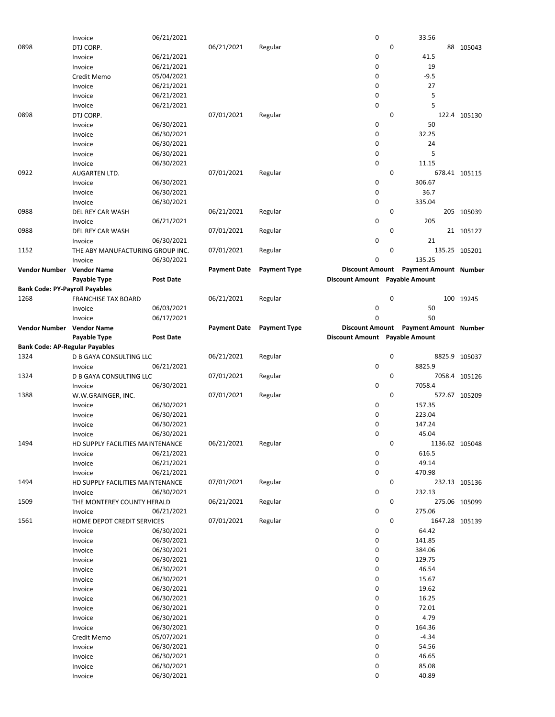|                                       | Invoice                          | 06/21/2021       |                     |                     | 0                              |              | 33.56                        |               |
|---------------------------------------|----------------------------------|------------------|---------------------|---------------------|--------------------------------|--------------|------------------------------|---------------|
| 0898                                  | DTJ CORP.                        |                  | 06/21/2021          | Regular             |                                | 0            |                              | 88 105043     |
|                                       |                                  |                  |                     |                     |                                |              |                              |               |
|                                       | Invoice                          | 06/21/2021       |                     |                     | 0                              |              | 41.5                         |               |
|                                       | Invoice                          | 06/21/2021       |                     |                     | 0                              |              | 19                           |               |
|                                       | Credit Memo                      | 05/04/2021       |                     |                     | 0                              |              | $-9.5$                       |               |
|                                       |                                  |                  |                     |                     |                                |              |                              |               |
|                                       | Invoice                          | 06/21/2021       |                     |                     | 0                              |              | 27                           |               |
|                                       | Invoice                          | 06/21/2021       |                     |                     | 0                              |              | 5                            |               |
|                                       | Invoice                          | 06/21/2021       |                     |                     | 0                              |              | 5                            |               |
|                                       |                                  |                  |                     |                     |                                |              |                              |               |
| 0898                                  | DTJ CORP.                        |                  | 07/01/2021          | Regular             |                                | $\mathbf{0}$ |                              | 122.4 105130  |
|                                       | Invoice                          | 06/30/2021       |                     |                     | 0                              |              | 50                           |               |
|                                       | Invoice                          | 06/30/2021       |                     |                     | 0                              |              | 32.25                        |               |
|                                       |                                  |                  |                     |                     |                                |              |                              |               |
|                                       | Invoice                          | 06/30/2021       |                     |                     | 0                              |              | 24                           |               |
|                                       | Invoice                          | 06/30/2021       |                     |                     | 0                              |              | 5                            |               |
|                                       | Invoice                          | 06/30/2021       |                     |                     | 0                              |              | 11.15                        |               |
|                                       |                                  |                  |                     |                     |                                |              |                              |               |
| 0922                                  | AUGARTEN LTD.                    |                  | 07/01/2021          | Regular             |                                | $\mathbf{0}$ |                              | 678.41 105115 |
|                                       | Invoice                          | 06/30/2021       |                     |                     | 0                              |              | 306.67                       |               |
|                                       | Invoice                          | 06/30/2021       |                     |                     | 0                              |              | 36.7                         |               |
|                                       |                                  |                  |                     |                     |                                |              |                              |               |
|                                       | Invoice                          | 06/30/2021       |                     |                     | 0                              |              | 335.04                       |               |
| 0988                                  | DEL REY CAR WASH                 |                  | 06/21/2021          | Regular             |                                | $\mathbf 0$  |                              | 205 105039    |
|                                       | Invoice                          | 06/21/2021       |                     |                     | 0                              |              | 205                          |               |
|                                       |                                  |                  |                     |                     |                                |              |                              |               |
| 0988                                  | DEL REY CAR WASH                 |                  | 07/01/2021          | Regular             |                                | 0            |                              | 21 105127     |
|                                       | Invoice                          | 06/30/2021       |                     |                     | 0                              |              | 21                           |               |
| 1152                                  | THE ABY MANUFACTURING GROUP INC. |                  | 07/01/2021          |                     |                                | 0            |                              | 135.25 105201 |
|                                       |                                  |                  |                     | Regular             |                                |              |                              |               |
|                                       | Invoice                          | 06/30/2021       |                     |                     | 0                              |              | 135.25                       |               |
| Vendor Number Vendor Name             |                                  |                  | <b>Payment Date</b> | <b>Payment Type</b> | <b>Discount Amount</b>         |              | <b>Payment Amount Number</b> |               |
|                                       |                                  |                  |                     |                     |                                |              |                              |               |
|                                       | Payable Type                     | <b>Post Date</b> |                     |                     | Discount Amount Payable Amount |              |                              |               |
| <b>Bank Code: PY-Payroll Payables</b> |                                  |                  |                     |                     |                                |              |                              |               |
| 1268                                  | <b>FRANCHISE TAX BOARD</b>       |                  | 06/21/2021          | Regular             |                                | $\mathbf 0$  |                              | 100 19245     |
|                                       |                                  |                  |                     |                     |                                |              |                              |               |
|                                       | Invoice                          | 06/03/2021       |                     |                     | 0                              |              | 50                           |               |
|                                       | Invoice                          | 06/17/2021       |                     |                     | 0                              |              | 50                           |               |
| Vendor Number Vendor Name             |                                  |                  | <b>Payment Date</b> | <b>Payment Type</b> | <b>Discount Amount</b>         |              | <b>Payment Amount Number</b> |               |
|                                       |                                  |                  |                     |                     |                                |              |                              |               |
|                                       | Payable Type                     | <b>Post Date</b> |                     |                     | Discount Amount Payable Amount |              |                              |               |
| <b>Bank Code: AP-Regular Payables</b> |                                  |                  |                     |                     |                                |              |                              |               |
| 1324                                  | D B GAYA CONSULTING LLC          |                  | 06/21/2021          | Regular             |                                | 0            |                              | 8825.9 105037 |
|                                       |                                  |                  |                     |                     |                                |              |                              |               |
|                                       |                                  |                  |                     |                     |                                |              |                              |               |
|                                       | Invoice                          | 06/21/2021       |                     |                     | 0                              |              | 8825.9                       |               |
| 1324                                  | D B GAYA CONSULTING LLC          |                  | 07/01/2021          | Regular             |                                | 0            |                              | 7058.4 105126 |
|                                       |                                  |                  |                     |                     |                                |              |                              |               |
|                                       | Invoice                          | 06/30/2021       |                     |                     | 0                              |              | 7058.4                       |               |
| 1388                                  | W.W.GRAINGER, INC.               |                  | 07/01/2021          | Regular             |                                | $\mathbf{0}$ |                              | 572.67 105209 |
|                                       |                                  |                  |                     |                     | 0                              |              | 157.35                       |               |
|                                       | Invoice                          | 06/30/2021       |                     |                     |                                |              |                              |               |
|                                       | Invoice                          | 06/30/2021       |                     |                     | 0                              |              | 223.04                       |               |
|                                       | Invoice                          | 06/30/2021       |                     |                     | 0                              |              | 147.24                       |               |
|                                       |                                  |                  |                     |                     | 0                              |              |                              |               |
|                                       | Invoice                          | 06/30/2021       |                     |                     |                                |              | 45.04                        |               |
| 1494                                  | HD SUPPLY FACILITIES MAINTENANCE |                  | 06/21/2021          | Regular             |                                | 0            | 1136.62 105048               |               |
|                                       | Invoice                          | 06/21/2021       |                     |                     | 0                              |              | 616.5                        |               |
|                                       |                                  | 06/21/2021       |                     |                     |                                |              |                              |               |
|                                       | Invoice                          |                  |                     |                     | 0                              |              | 49.14                        |               |
|                                       | Invoice                          | 06/21/2021       |                     |                     | 0                              |              | 470.98                       |               |
| 1494                                  | HD SUPPLY FACILITIES MAINTENANCE |                  | 07/01/2021          | Regular             |                                | 0            |                              | 232.13 105136 |
|                                       | Invoice                          | 06/30/2021       |                     |                     | 0                              |              | 232.13                       |               |
|                                       |                                  |                  |                     |                     |                                |              |                              |               |
| 1509                                  | THE MONTEREY COUNTY HERALD       |                  | 06/21/2021          | Regular             |                                | 0            |                              | 275.06 105099 |
|                                       | Invoice                          | 06/21/2021       |                     |                     | $\pmb{0}$                      |              | 275.06                       |               |
| 1561                                  |                                  |                  |                     |                     |                                | 0            |                              |               |
|                                       | HOME DEPOT CREDIT SERVICES       |                  | 07/01/2021          | Regular             |                                |              | 1647.28 105139               |               |
|                                       | Invoice                          | 06/30/2021       |                     |                     | 0                              |              | 64.42                        |               |
|                                       | Invoice                          | 06/30/2021       |                     |                     | 0                              |              | 141.85                       |               |
|                                       |                                  | 06/30/2021       |                     |                     |                                |              | 384.06                       |               |
|                                       | Invoice                          |                  |                     |                     | 0                              |              |                              |               |
|                                       | Invoice                          | 06/30/2021       |                     |                     | 0                              |              | 129.75                       |               |
|                                       | Invoice                          | 06/30/2021       |                     |                     | 0                              |              | 46.54                        |               |
|                                       | Invoice                          | 06/30/2021       |                     |                     | 0                              |              | 15.67                        |               |
|                                       |                                  |                  |                     |                     |                                |              |                              |               |
|                                       | Invoice                          | 06/30/2021       |                     |                     | 0                              |              | 19.62                        |               |
|                                       | Invoice                          | 06/30/2021       |                     |                     | 0                              |              | 16.25                        |               |
|                                       | Invoice                          | 06/30/2021       |                     |                     | 0                              |              | 72.01                        |               |
|                                       |                                  |                  |                     |                     |                                |              |                              |               |
|                                       | Invoice                          | 06/30/2021       |                     |                     | 0                              |              | 4.79                         |               |
|                                       | Invoice                          | 06/30/2021       |                     |                     | 0                              |              | 164.36                       |               |
|                                       | Credit Memo                      | 05/07/2021       |                     |                     | 0                              |              | $-4.34$                      |               |
|                                       |                                  |                  |                     |                     |                                |              |                              |               |
|                                       | Invoice                          | 06/30/2021       |                     |                     | 0                              |              | 54.56                        |               |
|                                       | Invoice                          | 06/30/2021       |                     |                     | 0                              |              | 46.65                        |               |
|                                       | Invoice                          | 06/30/2021       |                     |                     | 0                              |              | 85.08                        |               |
|                                       | Invoice                          | 06/30/2021       |                     |                     | 0                              |              | 40.89                        |               |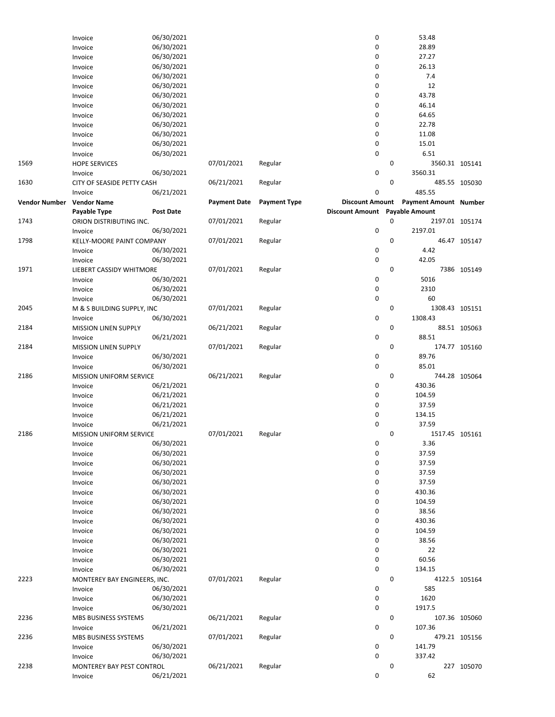|                      | Invoice                        | 06/30/2021 |                     |                     | 0                              |   | 53.48                        |               |
|----------------------|--------------------------------|------------|---------------------|---------------------|--------------------------------|---|------------------------------|---------------|
|                      | Invoice                        | 06/30/2021 |                     |                     | $\pmb{0}$                      |   | 28.89                        |               |
|                      | Invoice                        | 06/30/2021 |                     |                     | 0                              |   | 27.27                        |               |
|                      | Invoice                        | 06/30/2021 |                     |                     | 0                              |   | 26.13                        |               |
|                      | Invoice                        | 06/30/2021 |                     |                     | 0                              |   | 7.4                          |               |
|                      | Invoice                        | 06/30/2021 |                     |                     | 0                              |   | 12                           |               |
|                      |                                | 06/30/2021 |                     |                     | $\mathbf 0$                    |   | 43.78                        |               |
|                      | Invoice                        |            |                     |                     | 0                              |   | 46.14                        |               |
|                      | Invoice                        | 06/30/2021 |                     |                     |                                |   |                              |               |
|                      | Invoice                        | 06/30/2021 |                     |                     | 0                              |   | 64.65                        |               |
|                      | Invoice                        | 06/30/2021 |                     |                     | 0                              |   | 22.78                        |               |
|                      | Invoice                        | 06/30/2021 |                     |                     | 0                              |   | 11.08                        |               |
|                      | Invoice                        | 06/30/2021 |                     |                     | 0                              |   | 15.01                        |               |
|                      | Invoice                        | 06/30/2021 |                     |                     | $\pmb{0}$                      |   | 6.51                         |               |
| 1569                 | <b>HOPE SERVICES</b>           |            | 07/01/2021          | Regular             |                                | 0 | 3560.31 105141               |               |
|                      | Invoice                        | 06/30/2021 |                     |                     | $\pmb{0}$                      |   | 3560.31                      |               |
| 1630                 | CITY OF SEASIDE PETTY CASH     |            | 06/21/2021          | Regular             |                                | 0 |                              | 485.55 105030 |
|                      | Invoice                        | 06/21/2021 |                     |                     | 0                              |   | 485.55                       |               |
| <b>Vendor Number</b> | <b>Vendor Name</b>             |            | <b>Payment Date</b> | <b>Payment Type</b> | <b>Discount Amount</b>         |   | <b>Payment Amount Number</b> |               |
|                      | Payable Type                   | Post Date  |                     |                     | Discount Amount Payable Amount |   |                              |               |
| 1743                 | ORION DISTRIBUTING INC.        |            | 07/01/2021          | Regular             |                                | 0 | 2197.01 105174               |               |
|                      |                                | 06/30/2021 |                     |                     | 0                              |   | 2197.01                      |               |
|                      | Invoice                        |            |                     |                     |                                |   |                              |               |
| 1798                 | KELLY-MOORE PAINT COMPANY      |            | 07/01/2021          | Regular             |                                | 0 |                              | 46.47 105147  |
|                      | Invoice                        | 06/30/2021 |                     |                     | 0                              |   | 4.42                         |               |
|                      | Invoice                        | 06/30/2021 |                     |                     | $\pmb{0}$                      |   | 42.05                        |               |
| 1971                 | LIEBERT CASSIDY WHITMORE       |            | 07/01/2021          | Regular             |                                | 0 |                              | 7386 105149   |
|                      | Invoice                        | 06/30/2021 |                     |                     | 0                              |   | 5016                         |               |
|                      | Invoice                        | 06/30/2021 |                     |                     | $\pmb{0}$                      |   | 2310                         |               |
|                      | Invoice                        | 06/30/2021 |                     |                     | $\pmb{0}$                      |   | 60                           |               |
| 2045                 | M & S BUILDING SUPPLY, INC     |            | 07/01/2021          | Regular             |                                | 0 | 1308.43 105151               |               |
|                      | Invoice                        | 06/30/2021 |                     |                     | 0                              |   | 1308.43                      |               |
| 2184                 | MISSION LINEN SUPPLY           |            | 06/21/2021          | Regular             |                                | 0 |                              | 88.51 105063  |
|                      | Invoice                        | 06/21/2021 |                     |                     | $\pmb{0}$                      |   | 88.51                        |               |
|                      |                                |            |                     |                     |                                | 0 |                              |               |
| 2184                 | <b>MISSION LINEN SUPPLY</b>    |            | 07/01/2021          | Regular             |                                |   |                              | 174.77 105160 |
|                      | Invoice                        | 06/30/2021 |                     |                     | $\pmb{0}$                      |   | 89.76                        |               |
|                      | Invoice                        | 06/30/2021 |                     |                     | 0                              |   | 85.01                        |               |
| 2186                 | <b>MISSION UNIFORM SERVICE</b> |            | 06/21/2021          | Regular             |                                | 0 |                              | 744.28 105064 |
|                      | Invoice                        | 06/21/2021 |                     |                     | 0                              |   | 430.36                       |               |
|                      | Invoice                        | 06/21/2021 |                     |                     | 0                              |   | 104.59                       |               |
|                      | Invoice                        | 06/21/2021 |                     |                     | $\pmb{0}$                      |   | 37.59                        |               |
|                      | Invoice                        | 06/21/2021 |                     |                     | 0                              |   | 134.15                       |               |
|                      | Invoice                        | 06/21/2021 |                     |                     | $\mathbf 0$                    |   | 37.59                        |               |
| 2186                 | <b>MISSION UNIFORM SERVICE</b> |            | 07/01/2021          | Regular             |                                | 0 | 1517.45 105161               |               |
|                      | Invoice                        | 06/30/2021 |                     |                     | 0                              |   | 3.36                         |               |
|                      | Invoice                        | 06/30/2021 |                     |                     | $\pmb{0}$                      |   | 37.59                        |               |
|                      | Invoice                        | 06/30/2021 |                     |                     | $\pmb{0}$                      |   | 37.59                        |               |
|                      |                                | 06/30/2021 |                     |                     | $\pmb{0}$                      |   | 37.59                        |               |
|                      | Invoice                        |            |                     |                     |                                |   |                              |               |
|                      | Invoice                        | 06/30/2021 |                     |                     | $\pmb{0}$                      |   | 37.59                        |               |
|                      | Invoice                        | 06/30/2021 |                     |                     | $\pmb{0}$                      |   | 430.36                       |               |
|                      | Invoice                        | 06/30/2021 |                     |                     | 0                              |   | 104.59                       |               |
|                      | Invoice                        | 06/30/2021 |                     |                     | $\pmb{0}$                      |   | 38.56                        |               |
|                      | Invoice                        | 06/30/2021 |                     |                     | $\pmb{0}$                      |   | 430.36                       |               |
|                      | Invoice                        | 06/30/2021 |                     |                     | $\pmb{0}$                      |   | 104.59                       |               |
|                      | Invoice                        | 06/30/2021 |                     |                     | 0                              |   | 38.56                        |               |
|                      | Invoice                        | 06/30/2021 |                     |                     | 0                              |   | 22                           |               |
|                      | Invoice                        | 06/30/2021 |                     |                     | $\pmb{0}$                      |   | 60.56                        |               |
|                      | Invoice                        | 06/30/2021 |                     |                     | $\pmb{0}$                      |   | 134.15                       |               |
| 2223                 | MONTEREY BAY ENGINEERS, INC.   |            | 07/01/2021          | Regular             |                                | 0 |                              | 4122.5 105164 |
|                      | Invoice                        | 06/30/2021 |                     |                     | 0                              |   | 585                          |               |
|                      |                                | 06/30/2021 |                     |                     | $\pmb{0}$                      |   | 1620                         |               |
|                      | Invoice                        |            |                     |                     |                                |   |                              |               |
|                      | Invoice                        | 06/30/2021 |                     |                     | $\pmb{0}$                      |   | 1917.5                       |               |
| 2236                 | MBS BUSINESS SYSTEMS           |            | 06/21/2021          | Regular             |                                | 0 |                              | 107.36 105060 |
|                      | Invoice                        | 06/21/2021 |                     |                     | 0                              |   | 107.36                       |               |
| 2236                 | MBS BUSINESS SYSTEMS           |            | 07/01/2021          | Regular             |                                | 0 |                              | 479.21 105156 |
|                      | Invoice                        | 06/30/2021 |                     |                     | 0                              |   | 141.79                       |               |
|                      | Invoice                        | 06/30/2021 |                     |                     | $\pmb{0}$                      |   | 337.42                       |               |
| 2238                 | MONTEREY BAY PEST CONTROL      |            | 06/21/2021          | Regular             |                                | 0 |                              | 227 105070    |
|                      | Invoice                        | 06/21/2021 |                     |                     | 0                              |   | 62                           |               |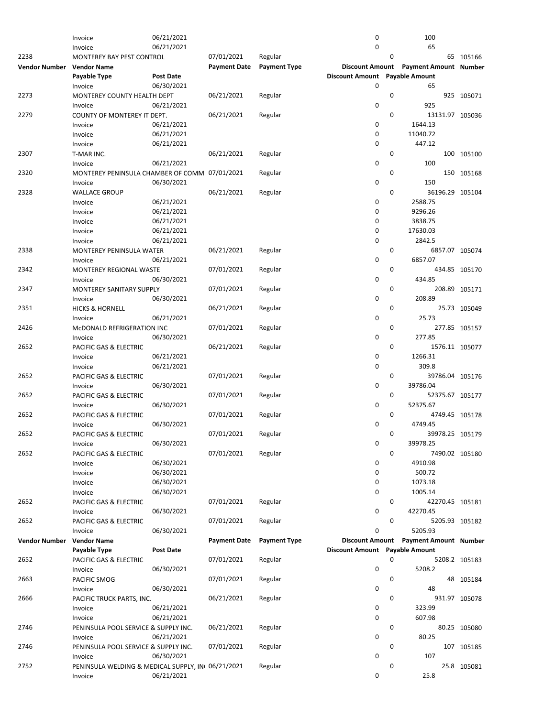|                      | Invoice                                           | 06/21/2021 |                     |                     | 0                              |             | 100                          |               |
|----------------------|---------------------------------------------------|------------|---------------------|---------------------|--------------------------------|-------------|------------------------------|---------------|
|                      | Invoice                                           | 06/21/2021 |                     |                     | 0                              |             | 65                           |               |
| 2238                 | MONTEREY BAY PEST CONTROL                         |            | 07/01/2021          | Regular             |                                | 0           |                              | 65 105166     |
|                      |                                                   |            |                     |                     |                                |             |                              |               |
| <b>Vendor Number</b> | <b>Vendor Name</b>                                |            | <b>Payment Date</b> | <b>Payment Type</b> | <b>Discount Amount</b>         |             | <b>Payment Amount Number</b> |               |
|                      | Payable Type                                      | Post Date  |                     |                     | <b>Discount Amount</b>         |             | <b>Payable Amount</b>        |               |
|                      | Invoice                                           | 06/30/2021 |                     |                     | 0                              |             | 65                           |               |
|                      |                                                   |            |                     |                     |                                | 0           |                              |               |
| 2273                 | MONTEREY COUNTY HEALTH DEPT                       |            | 06/21/2021          | Regular             |                                |             |                              | 925 105071    |
|                      | Invoice                                           | 06/21/2021 |                     |                     | 0                              |             | 925                          |               |
| 2279                 | COUNTY OF MONTEREY IT DEPT.                       |            | 06/21/2021          | Regular             |                                | 0           | 13131.97 105036              |               |
|                      |                                                   | 06/21/2021 |                     |                     | 0                              |             | 1644.13                      |               |
|                      | Invoice                                           |            |                     |                     |                                |             |                              |               |
|                      | Invoice                                           | 06/21/2021 |                     |                     | 0                              |             | 11040.72                     |               |
|                      | Invoice                                           | 06/21/2021 |                     |                     | 0                              |             | 447.12                       |               |
| 2307                 | T-MAR INC.                                        |            | 06/21/2021          | Regular             |                                | $\mathbf 0$ |                              | 100 105100    |
|                      |                                                   |            |                     |                     |                                |             |                              |               |
|                      | Invoice                                           | 06/21/2021 |                     |                     | 0                              |             | 100                          |               |
| 2320                 | MONTEREY PENINSULA CHAMBER OF COMM 07/01/2021     |            |                     | Regular             |                                | $\mathbf 0$ |                              | 150 105168    |
|                      | Invoice                                           | 06/30/2021 |                     |                     | 0                              |             | 150                          |               |
|                      |                                                   |            |                     |                     |                                |             |                              |               |
| 2328                 | <b>WALLACE GROUP</b>                              |            | 06/21/2021          | Regular             |                                | 0           | 36196.29 105104              |               |
|                      | Invoice                                           | 06/21/2021 |                     |                     | 0                              |             | 2588.75                      |               |
|                      | Invoice                                           | 06/21/2021 |                     |                     | 0                              |             | 9296.26                      |               |
|                      |                                                   |            |                     |                     |                                |             |                              |               |
|                      | Invoice                                           | 06/21/2021 |                     |                     | 0                              |             | 3838.75                      |               |
|                      | Invoice                                           | 06/21/2021 |                     |                     | 0                              |             | 17630.03                     |               |
|                      | Invoice                                           | 06/21/2021 |                     |                     | 0                              |             | 2842.5                       |               |
|                      |                                                   |            |                     |                     |                                |             |                              |               |
| 2338                 | MONTEREY PENINSULA WATER                          |            | 06/21/2021          | Regular             |                                | 0           | 6857.07 105074               |               |
|                      | Invoice                                           | 06/21/2021 |                     |                     | 0                              |             | 6857.07                      |               |
| 2342                 | MONTEREY REGIONAL WASTE                           |            | 07/01/2021          | Regular             |                                | 0           |                              | 434.85 105170 |
|                      |                                                   |            |                     |                     |                                |             |                              |               |
|                      | Invoice                                           | 06/30/2021 |                     |                     | 0                              |             | 434.85                       |               |
| 2347                 | MONTEREY SANITARY SUPPLY                          |            | 07/01/2021          | Regular             |                                | 0           |                              | 208.89 105171 |
|                      | Invoice                                           | 06/30/2021 |                     |                     | 0                              |             | 208.89                       |               |
|                      |                                                   |            |                     |                     |                                |             |                              |               |
| 2351                 | <b>HICKS &amp; HORNELL</b>                        |            | 06/21/2021          | Regular             |                                | $\mathbf 0$ |                              | 25.73 105049  |
|                      | Invoice                                           | 06/21/2021 |                     |                     | 0                              |             | 25.73                        |               |
| 2426                 | McDONALD REFRIGERATION INC                        |            | 07/01/2021          | Regular             |                                | 0           |                              | 277.85 105157 |
|                      |                                                   |            |                     |                     |                                |             |                              |               |
|                      | Invoice                                           | 06/30/2021 |                     |                     | 0                              |             | 277.85                       |               |
| 2652                 | PACIFIC GAS & ELECTRIC                            |            | 06/21/2021          | Regular             |                                | 0           | 1576.11 105077               |               |
|                      | Invoice                                           | 06/21/2021 |                     |                     | 0                              |             | 1266.31                      |               |
|                      |                                                   |            |                     |                     |                                |             |                              |               |
|                      | Invoice                                           | 06/21/2021 |                     |                     | 0                              |             | 309.8                        |               |
| 2652                 | PACIFIC GAS & ELECTRIC                            |            | 07/01/2021          | Regular             |                                | 0           | 39786.04 105176              |               |
|                      | Invoice                                           | 06/30/2021 |                     |                     | 0                              |             | 39786.04                     |               |
|                      |                                                   |            |                     |                     |                                |             |                              |               |
| 2652                 | PACIFIC GAS & ELECTRIC                            |            | 07/01/2021          | Regular             |                                | $\mathbf 0$ | 52375.67 105177              |               |
|                      | Invoice                                           | 06/30/2021 |                     |                     | 0                              |             | 52375.67                     |               |
| 2652                 | PACIFIC GAS & ELECTRIC                            |            | 07/01/2021          | Regular             |                                | 0           | 4749.45 105178               |               |
|                      |                                                   |            |                     |                     |                                |             |                              |               |
|                      | Invoice                                           | 06/30/2021 |                     |                     | $\mathbf 0$                    |             | 4749.45                      |               |
| 2652                 | PACIFIC GAS & ELECTRIC                            |            | 07/01/2021          | Regular             |                                | 0           | 39978.25 105179              |               |
|                      | Invoice                                           | 06/30/2021 |                     |                     | 0                              |             | 39978.25                     |               |
|                      |                                                   |            |                     |                     |                                |             |                              |               |
| 2652                 | PACIFIC GAS & ELECTRIC                            |            | 07/01/2021          | Regular             |                                | 0           | 7490.02 105180               |               |
|                      | Invoice                                           | 06/30/2021 |                     |                     | 0                              |             | 4910.98                      |               |
|                      | Invoice                                           | 06/30/2021 |                     |                     | 0                              |             | 500.72                       |               |
|                      |                                                   |            |                     |                     |                                |             |                              |               |
|                      | Invoice                                           | 06/30/2021 |                     |                     | 0                              |             | 1073.18                      |               |
|                      | Invoice                                           | 06/30/2021 |                     |                     | 0                              |             | 1005.14                      |               |
| 2652                 | PACIFIC GAS & ELECTRIC                            |            | 07/01/2021          | Regular             |                                | 0           | 42270.45 105181              |               |
|                      |                                                   |            |                     |                     | 0                              |             | 42270.45                     |               |
|                      | Invoice                                           | 06/30/2021 |                     |                     |                                |             |                              |               |
| 2652                 | PACIFIC GAS & ELECTRIC                            |            | 07/01/2021          | Regular             |                                | $\mathbf 0$ | 5205.93 105182               |               |
|                      | Invoice                                           | 06/30/2021 |                     |                     | 0                              |             | 5205.93                      |               |
|                      |                                                   |            | <b>Payment Date</b> | <b>Payment Type</b> | <b>Discount Amount</b>         |             |                              |               |
| <b>Vendor Number</b> | <b>Vendor Name</b>                                |            |                     |                     |                                |             | <b>Payment Amount Number</b> |               |
|                      | Payable Type                                      | Post Date  |                     |                     | Discount Amount Payable Amount |             |                              |               |
| 2652                 | PACIFIC GAS & ELECTRIC                            |            | 07/01/2021          | Regular             |                                | 0           |                              | 5208.2 105183 |
|                      | Invoice                                           | 06/30/2021 |                     |                     | 0                              |             | 5208.2                       |               |
|                      |                                                   |            |                     |                     |                                |             |                              |               |
| 2663                 | PACIFIC SMOG                                      |            | 07/01/2021          | Regular             |                                | 0           |                              | 48 105184     |
|                      | Invoice                                           | 06/30/2021 |                     |                     | 0                              |             | 48                           |               |
| 2666                 | PACIFIC TRUCK PARTS, INC.                         |            | 06/21/2021          | Regular             |                                | 0           |                              | 931.97 105078 |
|                      |                                                   |            |                     |                     |                                |             |                              |               |
|                      | Invoice                                           | 06/21/2021 |                     |                     | 0                              |             | 323.99                       |               |
|                      | Invoice                                           | 06/21/2021 |                     |                     | 0                              |             | 607.98                       |               |
| 2746                 | PENINSULA POOL SERVICE & SUPPLY INC.              |            | 06/21/2021          | Regular             |                                | 0           |                              | 80.25 105080  |
|                      |                                                   |            |                     |                     | 0                              |             |                              |               |
|                      | Invoice                                           | 06/21/2021 |                     |                     |                                |             | 80.25                        |               |
| 2746                 | PENINSULA POOL SERVICE & SUPPLY INC.              |            | 07/01/2021          | Regular             |                                | 0           |                              | 107 105185    |
|                      | Invoice                                           | 06/30/2021 |                     |                     | 0                              |             | 107                          |               |
| 2752                 |                                                   |            |                     |                     |                                | 0           |                              | 25.8 105081   |
|                      | PENINSULA WELDING & MEDICAL SUPPLY, IN 06/21/2021 |            |                     | Regular             |                                |             |                              |               |
|                      | Invoice                                           | 06/21/2021 |                     |                     | 0                              |             | 25.8                         |               |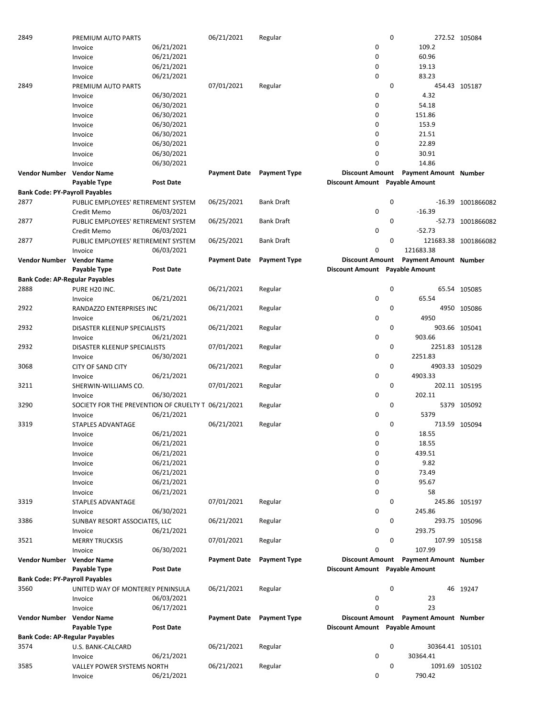| 2849                                  | PREMIUM AUTO PARTS                                 |                  | 06/21/2021          | Regular             |                                | 0 |                                       | 272.52 105084        |
|---------------------------------------|----------------------------------------------------|------------------|---------------------|---------------------|--------------------------------|---|---------------------------------------|----------------------|
|                                       | Invoice                                            | 06/21/2021       |                     |                     | 0                              |   | 109.2                                 |                      |
|                                       | Invoice                                            | 06/21/2021       |                     |                     | 0                              |   | 60.96                                 |                      |
|                                       |                                                    |                  |                     |                     |                                |   |                                       |                      |
|                                       | Invoice                                            | 06/21/2021       |                     |                     | 0                              |   | 19.13                                 |                      |
|                                       | Invoice                                            | 06/21/2021       |                     |                     | $\mathbf 0$                    |   | 83.23                                 |                      |
| 2849                                  | PREMIUM AUTO PARTS                                 |                  | 07/01/2021          | Regular             |                                | 0 |                                       | 454.43 105187        |
|                                       | Invoice                                            | 06/30/2021       |                     |                     | 0                              |   | 4.32                                  |                      |
|                                       |                                                    |                  |                     |                     |                                |   |                                       |                      |
|                                       | Invoice                                            | 06/30/2021       |                     |                     | 0                              |   | 54.18                                 |                      |
|                                       | Invoice                                            | 06/30/2021       |                     |                     | 0                              |   | 151.86                                |                      |
|                                       | Invoice                                            | 06/30/2021       |                     |                     | 0                              |   | 153.9                                 |                      |
|                                       |                                                    |                  |                     |                     | 0                              |   | 21.51                                 |                      |
|                                       | Invoice                                            | 06/30/2021       |                     |                     |                                |   |                                       |                      |
|                                       | Invoice                                            | 06/30/2021       |                     |                     | 0                              |   | 22.89                                 |                      |
|                                       | Invoice                                            | 06/30/2021       |                     |                     | 0                              |   | 30.91                                 |                      |
|                                       | Invoice                                            | 06/30/2021       |                     |                     | 0                              |   | 14.86                                 |                      |
|                                       |                                                    |                  |                     |                     |                                |   |                                       |                      |
| Vendor Number                         | <b>Vendor Name</b>                                 |                  | <b>Payment Date</b> | <b>Payment Type</b> | <b>Discount Amount</b>         |   | <b>Payment Amount Number</b>          |                      |
|                                       | Payable Type                                       | <b>Post Date</b> |                     |                     | Discount Amount Payable Amount |   |                                       |                      |
| <b>Bank Code: PY-Payroll Payables</b> |                                                    |                  |                     |                     |                                |   |                                       |                      |
| 2877                                  |                                                    |                  |                     |                     |                                | 0 |                                       |                      |
|                                       | PUBLIC EMPLOYEES' RETIREMENT SYSTEM                |                  | 06/25/2021          | Bank Draft          |                                |   |                                       | -16.39 1001866082    |
|                                       | Credit Memo                                        | 06/03/2021       |                     |                     | 0                              |   | $-16.39$                              |                      |
| 2877                                  | PUBLIC EMPLOYEES' RETIREMENT SYSTEM                |                  | 06/25/2021          | <b>Bank Draft</b>   |                                | 0 |                                       | -52.73 1001866082    |
|                                       | Credit Memo                                        | 06/03/2021       |                     |                     | 0                              |   | $-52.73$                              |                      |
|                                       |                                                    |                  |                     |                     |                                |   |                                       |                      |
| 2877                                  | PUBLIC EMPLOYEES' RETIREMENT SYSTEM                |                  | 06/25/2021          | <b>Bank Draft</b>   |                                | 0 |                                       | 121683.38 1001866082 |
|                                       | Invoice                                            | 06/03/2021       |                     |                     | 0                              |   | 121683.38                             |                      |
| Vendor Number                         | <b>Vendor Name</b>                                 |                  | <b>Payment Date</b> | <b>Payment Type</b> | <b>Discount Amount</b>         |   | <b>Payment Amount Number</b>          |                      |
|                                       | Payable Type                                       | <b>Post Date</b> |                     |                     | Discount Amount Payable Amount |   |                                       |                      |
|                                       |                                                    |                  |                     |                     |                                |   |                                       |                      |
| <b>Bank Code: AP-Regular Payables</b> |                                                    |                  |                     |                     |                                |   |                                       |                      |
| 2888                                  | PURE H20 INC.                                      |                  | 06/21/2021          | Regular             |                                | 0 |                                       | 65.54 105085         |
|                                       | Invoice                                            | 06/21/2021       |                     |                     | 0                              |   | 65.54                                 |                      |
|                                       |                                                    |                  |                     |                     |                                |   |                                       |                      |
| 2922                                  | RANDAZZO ENTERPRISES INC                           |                  | 06/21/2021          | Regular             |                                | 0 |                                       | 4950 105086          |
|                                       | Invoice                                            | 06/21/2021       |                     |                     | 0                              |   | 4950                                  |                      |
| 2932                                  | DISASTER KLEENUP SPECIALISTS                       |                  | 06/21/2021          | Regular             |                                | 0 |                                       | 903.66 105041        |
|                                       | Invoice                                            | 06/21/2021       |                     |                     | 0                              |   | 903.66                                |                      |
|                                       |                                                    |                  |                     |                     |                                |   |                                       |                      |
| 2932                                  | DISASTER KLEENUP SPECIALISTS                       |                  | 07/01/2021          | Regular             |                                | 0 | 2251.83 105128                        |                      |
|                                       | Invoice                                            | 06/30/2021       |                     |                     | 0                              |   | 2251.83                               |                      |
| 3068                                  | <b>CITY OF SAND CITY</b>                           |                  | 06/21/2021          | Regular             |                                | 0 | 4903.33 105029                        |                      |
|                                       |                                                    |                  |                     |                     |                                |   | 4903.33                               |                      |
|                                       | Invoice                                            | 06/21/2021       |                     |                     | 0                              |   |                                       |                      |
| 3211                                  | SHERWIN-WILLIAMS CO.                               |                  | 07/01/2021          | Regular             |                                | 0 |                                       | 202.11 105195        |
|                                       | Invoice                                            | 06/30/2021       |                     |                     | 0                              |   | 202.11                                |                      |
| 3290                                  | SOCIETY FOR THE PREVENTION OF CRUELTY T 06/21/2021 |                  |                     | Regular             |                                | 0 |                                       | 5379 105092          |
|                                       |                                                    |                  |                     |                     |                                |   |                                       |                      |
|                                       | Invoice                                            | 06/21/2021       |                     |                     | 0                              |   | 5379                                  |                      |
| 3319                                  | <b>STAPLES ADVANTAGE</b>                           |                  | 06/21/2021          | Regular             |                                | 0 |                                       | 713.59 105094        |
|                                       | Invoice                                            | 06/21/2021       |                     |                     | 0                              |   | 18.55                                 |                      |
|                                       |                                                    |                  |                     |                     |                                |   |                                       |                      |
|                                       | Invoice                                            | 06/21/2021       |                     |                     | 0                              |   | 18.55                                 |                      |
|                                       | Invoice                                            | 06/21/2021       |                     |                     | 0                              |   | 439.51                                |                      |
|                                       | Invoice                                            | 06/21/2021       |                     |                     | 0                              |   | 9.82                                  |                      |
|                                       | Invoice                                            | 06/21/2021       |                     |                     | 0                              |   | 73.49                                 |                      |
|                                       |                                                    |                  |                     |                     |                                |   |                                       |                      |
|                                       | Invoice                                            | 06/21/2021       |                     |                     | 0                              |   | 95.67                                 |                      |
|                                       | Invoice                                            | 06/21/2021       |                     |                     | 0                              |   | 58                                    |                      |
| 3319                                  | <b>STAPLES ADVANTAGE</b>                           |                  | 07/01/2021          | Regular             |                                | 0 |                                       | 245.86 105197        |
|                                       | Invoice                                            | 06/30/2021       |                     |                     | 0                              |   | 245.86                                |                      |
|                                       |                                                    |                  |                     |                     |                                |   |                                       |                      |
| 3386                                  | SUNBAY RESORT ASSOCIATES, LLC                      |                  | 06/21/2021          | Regular             |                                | 0 |                                       | 293.75 105096        |
|                                       | Invoice                                            | 06/21/2021       |                     |                     | 0                              |   | 293.75                                |                      |
| 3521                                  | <b>MERRY TRUCKSIS</b>                              |                  | 07/01/2021          | Regular             |                                | 0 |                                       | 107.99 105158        |
|                                       |                                                    |                  |                     |                     | 0                              |   | 107.99                                |                      |
|                                       | Invoice                                            | 06/30/2021       |                     |                     |                                |   |                                       |                      |
| Vendor Number                         | <b>Vendor Name</b>                                 |                  | <b>Payment Date</b> | <b>Payment Type</b> |                                |   | Discount Amount Payment Amount Number |                      |
|                                       | Payable Type                                       | <b>Post Date</b> |                     |                     | Discount Amount Payable Amount |   |                                       |                      |
| <b>Bank Code: PY-Payroll Payables</b> |                                                    |                  |                     |                     |                                |   |                                       |                      |
|                                       |                                                    |                  |                     |                     |                                |   |                                       |                      |
| 3560                                  | UNITED WAY OF MONTEREY PENINSULA                   |                  | 06/21/2021          | Regular             |                                | 0 |                                       | 46 19247             |
|                                       | Invoice                                            | 06/03/2021       |                     |                     | 0                              |   | 23                                    |                      |
|                                       | Invoice                                            | 06/17/2021       |                     |                     | 0                              |   | 23                                    |                      |
| Vendor Number                         | <b>Vendor Name</b>                                 |                  | <b>Payment Date</b> | <b>Payment Type</b> |                                |   | Discount Amount Payment Amount Number |                      |
|                                       |                                                    |                  |                     |                     |                                |   |                                       |                      |
|                                       | Payable Type                                       | Post Date        |                     |                     | Discount Amount Payable Amount |   |                                       |                      |
| <b>Bank Code: AP-Regular Payables</b> |                                                    |                  |                     |                     |                                |   |                                       |                      |
| 3574                                  | U.S. BANK-CALCARD                                  |                  | 06/21/2021          | Regular             |                                | 0 | 30364.41 105101                       |                      |
|                                       |                                                    |                  |                     |                     |                                |   |                                       |                      |
|                                       | Invoice                                            | 06/21/2021       |                     |                     | 0                              |   | 30364.41                              |                      |
| 3585                                  | VALLEY POWER SYSTEMS NORTH                         |                  | 06/21/2021          | Regular             |                                | 0 | 1091.69 105102                        |                      |
|                                       | Invoice                                            | 06/21/2021       |                     |                     | 0                              |   | 790.42                                |                      |
|                                       |                                                    |                  |                     |                     |                                |   |                                       |                      |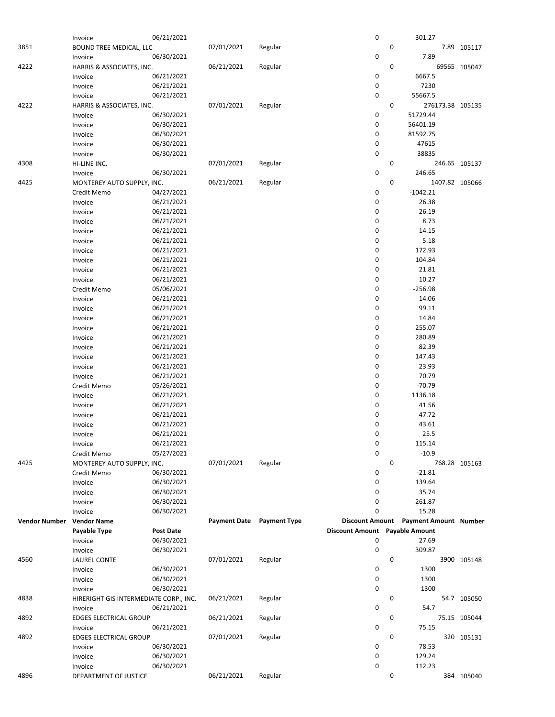|                           | Invoice                                | 06/21/2021       |                     |                     | 0                      | 301.27                       |                |
|---------------------------|----------------------------------------|------------------|---------------------|---------------------|------------------------|------------------------------|----------------|
| 3851                      |                                        |                  | 07/01/2021          | Regular             |                        | $\pmb{0}$                    | 7.89 105117    |
|                           | <b>BOUND TREE MEDICAL, LLC</b>         |                  |                     |                     |                        |                              |                |
|                           | Invoice                                | 06/30/2021       |                     |                     | 0                      | 7.89                         |                |
| 4222                      | HARRIS & ASSOCIATES, INC.              |                  | 06/21/2021          | Regular             |                        | 0                            | 69565 105047   |
|                           |                                        | 06/21/2021       |                     |                     | 0                      | 6667.5                       |                |
|                           | Invoice                                |                  |                     |                     |                        |                              |                |
|                           | Invoice                                | 06/21/2021       |                     |                     | 0                      | 7230                         |                |
|                           | Invoice                                | 06/21/2021       |                     |                     | 0                      | 55667.5                      |                |
| 4222                      |                                        |                  |                     |                     |                        | 0                            |                |
|                           | HARRIS & ASSOCIATES, INC.              |                  | 07/01/2021          | Regular             |                        | 276173.38 105135             |                |
|                           | Invoice                                | 06/30/2021       |                     |                     | 0                      | 51729.44                     |                |
|                           | Invoice                                | 06/30/2021       |                     |                     | 0                      | 56401.19                     |                |
|                           |                                        |                  |                     |                     | 0                      |                              |                |
|                           | Invoice                                | 06/30/2021       |                     |                     |                        | 81592.75                     |                |
|                           | Invoice                                | 06/30/2021       |                     |                     | 0                      | 47615                        |                |
|                           | Invoice                                | 06/30/2021       |                     |                     | 0                      | 38835                        |                |
|                           |                                        |                  |                     |                     |                        |                              |                |
| 4308                      | HI-LINE INC.                           |                  | 07/01/2021          | Regular             |                        | 0                            | 246.65 105137  |
|                           | Invoice                                | 06/30/2021       |                     |                     | 0                      | 246.65                       |                |
| 4425                      | MONTEREY AUTO SUPPLY, INC.             |                  | 06/21/2021          | Regular             |                        | 0                            | 1407.82 105066 |
|                           |                                        |                  |                     |                     |                        |                              |                |
|                           | Credit Memo                            | 04/27/2021       |                     |                     | 0                      | $-1042.21$                   |                |
|                           | Invoice                                | 06/21/2021       |                     |                     | 0                      | 26.38                        |                |
|                           | Invoice                                | 06/21/2021       |                     |                     | 0                      | 26.19                        |                |
|                           |                                        |                  |                     |                     |                        |                              |                |
|                           | Invoice                                | 06/21/2021       |                     |                     | 0                      | 8.73                         |                |
|                           | Invoice                                | 06/21/2021       |                     |                     | 0                      | 14.15                        |                |
|                           | Invoice                                | 06/21/2021       |                     |                     | 0                      | 5.18                         |                |
|                           |                                        |                  |                     |                     |                        |                              |                |
|                           | Invoice                                | 06/21/2021       |                     |                     | 0                      | 172.93                       |                |
|                           | Invoice                                | 06/21/2021       |                     |                     | 0                      | 104.84                       |                |
|                           | Invoice                                | 06/21/2021       |                     |                     | 0                      | 21.81                        |                |
|                           |                                        |                  |                     |                     |                        |                              |                |
|                           | Invoice                                | 06/21/2021       |                     |                     | 0                      | 10.27                        |                |
|                           | Credit Memo                            | 05/06/2021       |                     |                     | 0                      | $-256.98$                    |                |
|                           | Invoice                                | 06/21/2021       |                     |                     | 0                      | 14.06                        |                |
|                           |                                        |                  |                     |                     |                        |                              |                |
|                           | Invoice                                | 06/21/2021       |                     |                     | 0                      | 99.11                        |                |
|                           | Invoice                                | 06/21/2021       |                     |                     | 0                      | 14.84                        |                |
|                           | Invoice                                | 06/21/2021       |                     |                     | 0                      | 255.07                       |                |
|                           |                                        |                  |                     |                     |                        |                              |                |
|                           | Invoice                                | 06/21/2021       |                     |                     | 0                      | 280.89                       |                |
|                           | Invoice                                | 06/21/2021       |                     |                     | 0                      | 82.39                        |                |
|                           |                                        | 06/21/2021       |                     |                     | 0                      | 147.43                       |                |
|                           | Invoice                                |                  |                     |                     |                        |                              |                |
|                           | Invoice                                | 06/21/2021       |                     |                     | 0                      | 23.93                        |                |
|                           | Invoice                                | 06/21/2021       |                     |                     | 0                      | 70.79                        |                |
|                           |                                        |                  |                     |                     |                        | $-70.79$                     |                |
|                           | Credit Memo                            | 05/26/2021       |                     |                     | 0                      |                              |                |
|                           | Invoice                                | 06/21/2021       |                     |                     | 0                      | 1136.18                      |                |
|                           | Invoice                                | 06/21/2021       |                     |                     | 0                      | 41.56                        |                |
|                           |                                        |                  |                     |                     |                        |                              |                |
|                           | Invoice                                | 06/21/2021       |                     |                     | 0                      | 47.72                        |                |
|                           | Invoice                                | 06/21/2021       |                     |                     | 0                      | 43.61                        |                |
|                           | Invoice                                | 06/21/2021       |                     |                     | 0                      | 25.5                         |                |
|                           |                                        |                  |                     |                     |                        | 115.14                       |                |
|                           | Invoice                                | 06/21/2021       |                     |                     | 0                      |                              |                |
|                           | Credit Memo                            | 05/27/2021       |                     |                     | 0                      | $-10.9$                      |                |
| 4425                      | MONTEREY AUTO SUPPLY, INC.             |                  | 07/01/2021          |                     |                        |                              |                |
|                           |                                        |                  |                     |                     |                        |                              |                |
|                           |                                        |                  |                     | Regular             |                        | 0                            | 768.28 105163  |
|                           | Credit Memo                            | 06/30/2021       |                     |                     | 0                      | $-21.81$                     |                |
|                           | Invoice                                | 06/30/2021       |                     |                     | 0                      | 139.64                       |                |
|                           |                                        |                  |                     |                     | 0                      |                              |                |
|                           | Invoice                                | 06/30/2021       |                     |                     |                        | 35.74                        |                |
|                           | Invoice                                | 06/30/2021       |                     |                     | 0                      | 261.87                       |                |
|                           | Invoice                                | 06/30/2021       |                     |                     | $\mathbf 0$            | 15.28                        |                |
|                           |                                        |                  |                     |                     |                        |                              |                |
| Vendor Number Vendor Name |                                        |                  | <b>Payment Date</b> | <b>Payment Type</b> | <b>Discount Amount</b> | <b>Payment Amount Number</b> |                |
|                           | Payable Type                           | <b>Post Date</b> |                     |                     | <b>Discount Amount</b> | <b>Payable Amount</b>        |                |
|                           | Invoice                                | 06/30/2021       |                     |                     | 0                      | 27.69                        |                |
|                           |                                        |                  |                     |                     |                        |                              |                |
|                           | Invoice                                | 06/30/2021       |                     |                     | 0                      | 309.87                       |                |
| 4560                      | LAUREL CONTE                           |                  | 07/01/2021          | Regular             |                        | 0                            | 3900 105148    |
|                           | Invoice                                | 06/30/2021       |                     |                     | 0                      | 1300                         |                |
|                           |                                        |                  |                     |                     | 0                      | 1300                         |                |
|                           | Invoice                                | 06/30/2021       |                     |                     |                        |                              |                |
|                           | Invoice                                | 06/30/2021       |                     |                     | 0                      | 1300                         |                |
| 4838                      | HIRERIGHT GIS INTERMEDIATE CORP., INC. |                  | 06/21/2021          | Regular             |                        | 0                            | 54.7 105050    |
|                           |                                        |                  |                     |                     |                        |                              |                |
|                           | Invoice                                | 06/21/2021       |                     |                     | 0                      | 54.7                         |                |
| 4892                      | <b>EDGES ELECTRICAL GROUP</b>          |                  | 06/21/2021          | Regular             |                        | 0                            | 75.15 105044   |
|                           | Invoice                                | 06/21/2021       |                     |                     | 0                      | 75.15                        |                |
| 4892                      |                                        |                  | 07/01/2021          |                     |                        | 0                            |                |
|                           | <b>EDGES ELECTRICAL GROUP</b>          |                  |                     | Regular             |                        |                              | 320 105131     |
|                           | Invoice                                | 06/30/2021       |                     |                     | 0                      | 78.53                        |                |
|                           | Invoice                                | 06/30/2021       |                     |                     | 0                      | 129.24                       |                |
|                           |                                        |                  |                     |                     | 0                      | 112.23                       |                |
| 4896                      | Invoice<br>DEPARTMENT OF JUSTICE       | 06/30/2021       | 06/21/2021          | Regular             |                        | 0                            | 384 105040     |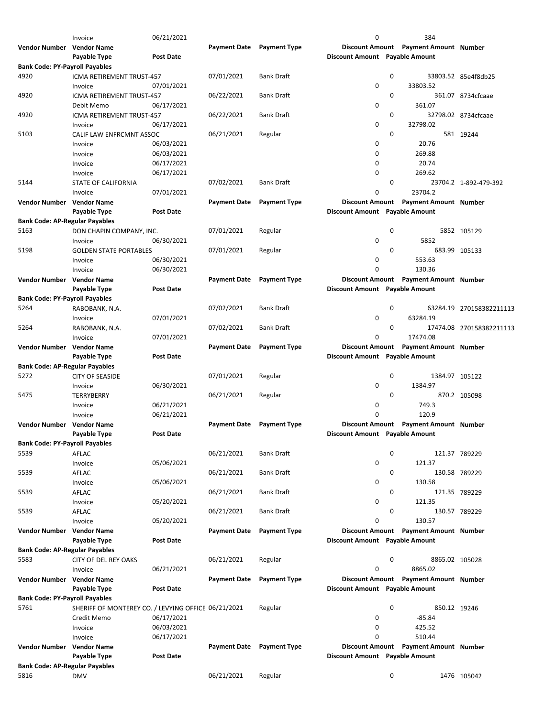|                                       | Invoice                                             | 06/21/2021       |                     |                     | 0                              |             | 384                                   |                          |
|---------------------------------------|-----------------------------------------------------|------------------|---------------------|---------------------|--------------------------------|-------------|---------------------------------------|--------------------------|
| Vendor Number Vendor Name             |                                                     |                  | <b>Payment Date</b> | <b>Payment Type</b> | <b>Discount Amount</b>         |             | <b>Payment Amount Number</b>          |                          |
|                                       | Payable Type                                        | <b>Post Date</b> |                     |                     | Discount Amount Payable Amount |             |                                       |                          |
| <b>Bank Code: PY-Payroll Payables</b> |                                                     |                  |                     |                     |                                |             |                                       |                          |
| 4920                                  | ICMA RETIREMENT TRUST-457                           |                  | 07/01/2021          | <b>Bank Draft</b>   |                                | 0           |                                       | 33803.52 85e4f8db25      |
|                                       | Invoice                                             | 07/01/2021       |                     |                     | 0                              |             | 33803.52                              |                          |
| 4920                                  | <b>ICMA RETIREMENT TRUST-457</b>                    |                  | 06/22/2021          | <b>Bank Draft</b>   |                                | 0           |                                       | 361.07 8734cfcaae        |
|                                       | Debit Memo                                          | 06/17/2021       |                     |                     | 0                              |             | 361.07                                |                          |
| 4920                                  | ICMA RETIREMENT TRUST-457                           |                  | 06/22/2021          | <b>Bank Draft</b>   |                                | 0           |                                       | 32798.02 8734cfcaae      |
|                                       | Invoice                                             | 06/17/2021       |                     |                     | $\mathbf 0$                    |             | 32798.02                              |                          |
| 5103                                  |                                                     |                  | 06/21/2021          |                     |                                | 0           |                                       |                          |
|                                       | CALIF LAW ENFRCMNT ASSOC                            |                  |                     | Regular             |                                |             |                                       | 581 19244                |
|                                       | Invoice                                             | 06/03/2021       |                     |                     | 0                              |             | 20.76                                 |                          |
|                                       | Invoice                                             | 06/03/2021       |                     |                     | $\mathbf 0$                    |             | 269.88                                |                          |
|                                       | Invoice                                             | 06/17/2021       |                     |                     | 0                              |             | 20.74                                 |                          |
|                                       | Invoice                                             | 06/17/2021       |                     |                     | 0                              |             | 269.62                                |                          |
| 5144                                  | <b>STATE OF CALIFORNIA</b>                          |                  | 07/02/2021          | <b>Bank Draft</b>   |                                | 0           |                                       | 23704.2 1-892-479-392    |
|                                       | Invoice                                             | 07/01/2021       |                     |                     | 0                              |             | 23704.2                               |                          |
| Vendor Number Vendor Name             |                                                     |                  | <b>Payment Date</b> | <b>Payment Type</b> | <b>Discount Amount</b>         |             | <b>Payment Amount Number</b>          |                          |
|                                       | Payable Type                                        | <b>Post Date</b> |                     |                     | Discount Amount Payable Amount |             |                                       |                          |
| <b>Bank Code: AP-Regular Payables</b> |                                                     |                  |                     |                     |                                |             |                                       |                          |
| 5163                                  | DON CHAPIN COMPANY, INC.                            |                  | 07/01/2021          | Regular             |                                | 0           |                                       | 5852 105129              |
|                                       | Invoice                                             | 06/30/2021       |                     |                     | 0                              |             | 5852                                  |                          |
| 5198                                  | <b>GOLDEN STATE PORTABLES</b>                       |                  | 07/01/2021          | Regular             |                                | 0           |                                       | 683.99 105133            |
|                                       | Invoice                                             | 06/30/2021       |                     |                     | 0                              |             | 553.63                                |                          |
|                                       | Invoice                                             | 06/30/2021       |                     |                     | <sup>0</sup>                   |             | 130.36                                |                          |
| Vendor Number Vendor Name             |                                                     |                  | <b>Payment Date</b> | <b>Payment Type</b> | <b>Discount Amount</b>         |             | <b>Payment Amount Number</b>          |                          |
|                                       | Payable Type                                        | <b>Post Date</b> |                     |                     | Discount Amount Payable Amount |             |                                       |                          |
| <b>Bank Code: PY-Payroll Payables</b> |                                                     |                  |                     |                     |                                |             |                                       |                          |
| 5264                                  |                                                     |                  |                     |                     |                                | 0           |                                       |                          |
|                                       | RABOBANK, N.A.                                      |                  | 07/02/2021          | <b>Bank Draft</b>   |                                |             |                                       | 63284.19 270158382211113 |
|                                       | Invoice                                             | 07/01/2021       |                     |                     | 0                              |             | 63284.19                              |                          |
| 5264                                  | RABOBANK, N.A.                                      |                  | 07/02/2021          | Bank Draft          |                                | 0           |                                       | 17474.08 270158382211113 |
|                                       | Invoice                                             | 07/01/2021       |                     |                     | 0                              |             | 17474.08                              |                          |
| Vendor Number Vendor Name             |                                                     |                  | <b>Payment Date</b> | <b>Payment Type</b> | <b>Discount Amount</b>         |             | <b>Payment Amount Number</b>          |                          |
|                                       | Payable Type                                        | <b>Post Date</b> |                     |                     | Discount Amount Payable Amount |             |                                       |                          |
| <b>Bank Code: AP-Regular Payables</b> |                                                     |                  |                     |                     |                                |             |                                       |                          |
| 5272                                  | <b>CITY OF SEASIDE</b>                              |                  | 07/01/2021          | Regular             |                                | 0           | 1384.97 105122                        |                          |
|                                       | Invoice                                             | 06/30/2021       |                     |                     | 0                              |             | 1384.97                               |                          |
| 5475                                  | TERRYBERRY                                          |                  | 06/21/2021          | Regular             |                                | 0           |                                       | 870.2 105098             |
|                                       | Invoice                                             | 06/21/2021       |                     |                     | 0                              |             | 749.3                                 |                          |
|                                       | Invoice                                             | 06/21/2021       |                     |                     | 0                              |             | 120.9                                 |                          |
| Vendor Number                         | <b>Vendor Name</b>                                  |                  | <b>Payment Date</b> | <b>Payment Type</b> | <b>Discount Amount</b>         |             | <b>Payment Amount Number</b>          |                          |
|                                       | Payable Type                                        | <b>Post Date</b> |                     |                     | Discount Amount Payable Amount |             |                                       |                          |
| <b>Bank Code: PY-Payroll Payables</b> |                                                     |                  |                     |                     |                                |             |                                       |                          |
| 5539                                  | AFLAC                                               |                  | 06/21/2021          | Bank Draft          |                                | $\mathbf 0$ |                                       | 121.37 789229            |
|                                       |                                                     |                  |                     |                     | 0                              |             |                                       |                          |
|                                       | Invoice                                             | 05/06/2021       |                     |                     |                                |             | 121.37                                |                          |
| 5539                                  | AFLAC                                               |                  | 06/21/2021          | <b>Bank Draft</b>   |                                | 0           |                                       | 130.58 789229            |
|                                       | Invoice                                             | 05/06/2021       |                     |                     | 0                              |             | 130.58                                |                          |
| 5539                                  | AFLAC                                               |                  | 06/21/2021          | <b>Bank Draft</b>   |                                | 0           |                                       | 121.35 789229            |
|                                       | Invoice                                             | 05/20/2021       |                     |                     | 0                              |             | 121.35                                |                          |
| 5539                                  | AFLAC                                               |                  | 06/21/2021          | Bank Draft          |                                | 0           |                                       | 130.57 789229            |
|                                       | Invoice                                             | 05/20/2021       |                     |                     | 0                              |             | 130.57                                |                          |
| Vendor Number Vendor Name             |                                                     |                  | <b>Payment Date</b> | <b>Payment Type</b> | <b>Discount Amount</b>         |             | <b>Payment Amount Number</b>          |                          |
|                                       | Payable Type                                        | <b>Post Date</b> |                     |                     | Discount Amount Payable Amount |             |                                       |                          |
| <b>Bank Code: AP-Regular Payables</b> |                                                     |                  |                     |                     |                                |             |                                       |                          |
| 5583                                  | CITY OF DEL REY OAKS                                |                  | 06/21/2021          | Regular             |                                | 0           | 8865.02 105028                        |                          |
|                                       | Invoice                                             | 06/21/2021       |                     |                     | 0                              |             | 8865.02                               |                          |
| Vendor Number Vendor Name             |                                                     |                  | <b>Payment Date</b> | <b>Payment Type</b> |                                |             | Discount Amount Payment Amount Number |                          |
|                                       | Payable Type                                        | <b>Post Date</b> |                     |                     | Discount Amount Payable Amount |             |                                       |                          |
| <b>Bank Code: PY-Payroll Payables</b> |                                                     |                  |                     |                     |                                |             |                                       |                          |
| 5761                                  | SHERIFF OF MONTEREY CO. / LEVYING OFFICE 06/21/2021 |                  |                     |                     |                                | $\mathbf 0$ | 850.12 19246                          |                          |
|                                       |                                                     | 06/17/2021       |                     | Regular             | 0                              |             | $-85.84$                              |                          |
|                                       | Credit Memo                                         |                  |                     |                     |                                |             |                                       |                          |
|                                       | Invoice                                             | 06/03/2021       |                     |                     | $\mathbf 0$                    |             | 425.52                                |                          |
|                                       | Invoice                                             | 06/17/2021       |                     |                     | 0                              |             | 510.44                                |                          |
| Vendor Number Vendor Name             |                                                     |                  | <b>Payment Date</b> | <b>Payment Type</b> | <b>Discount Amount</b>         |             | <b>Payment Amount Number</b>          |                          |
|                                       | Payable Type                                        | <b>Post Date</b> |                     |                     | Discount Amount Payable Amount |             |                                       |                          |
| <b>Bank Code: AP-Regular Payables</b> |                                                     |                  |                     |                     |                                |             |                                       |                          |
| 5816                                  | <b>DMV</b>                                          |                  | 06/21/2021          | Regular             |                                | 0           |                                       | 1476 105042              |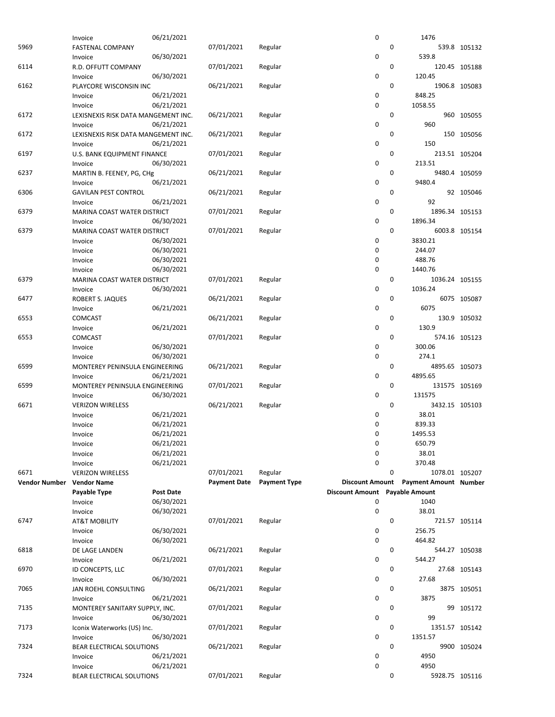|                      | Invoice                              | 06/21/2021       |                     |                     | 0                      |   | 1476                         |               |
|----------------------|--------------------------------------|------------------|---------------------|---------------------|------------------------|---|------------------------------|---------------|
| 5969                 | FASTENAL COMPANY                     |                  | 07/01/2021          | Regular             |                        | 0 |                              | 539.8 105132  |
|                      |                                      | 06/30/2021       |                     |                     | 0                      |   | 539.8                        |               |
|                      | Invoice                              |                  |                     |                     |                        |   |                              |               |
| 6114                 | R.D. OFFUTT COMPANY                  |                  | 07/01/2021          | Regular             |                        | 0 |                              | 120.45 105188 |
|                      | Invoice                              | 06/30/2021       |                     |                     | 0                      |   | 120.45                       |               |
| 6162                 | PLAYCORE WISCONSIN INC               |                  | 06/21/2021          | Regular             |                        | 0 |                              | 1906.8 105083 |
|                      | Invoice                              | 06/21/2021       |                     |                     | 0                      |   | 848.25                       |               |
|                      |                                      |                  |                     |                     |                        |   |                              |               |
|                      | Invoice                              | 06/21/2021       |                     |                     | 0                      |   | 1058.55                      |               |
| 6172                 | LEXISNEXIS RISK DATA MANGEMENT INC.  |                  | 06/21/2021          | Regular             |                        | 0 |                              | 960 105055    |
|                      | Invoice                              | 06/21/2021       |                     |                     | 0                      |   | 960                          |               |
| 6172                 | LEXISNEXIS RISK DATA MANGEMENT INC.  |                  | 06/21/2021          | Regular             |                        | 0 |                              | 150 105056    |
|                      |                                      |                  |                     |                     |                        |   |                              |               |
|                      | Invoice                              | 06/21/2021       |                     |                     | 0                      |   | 150                          |               |
| 6197                 | U.S. BANK EQUIPMENT FINANCE          |                  | 07/01/2021          | Regular             |                        | 0 |                              | 213.51 105204 |
|                      | Invoice                              | 06/30/2021       |                     |                     | 0                      |   | 213.51                       |               |
| 6237                 | MARTIN B. FEENEY, PG, CHg            |                  | 06/21/2021          | Regular             |                        | 0 |                              | 9480.4 105059 |
|                      |                                      |                  |                     |                     |                        |   |                              |               |
|                      | Invoice                              | 06/21/2021       |                     |                     | 0                      |   | 9480.4                       |               |
| 6306                 | <b>GAVILAN PEST CONTROL</b>          |                  | 06/21/2021          | Regular             |                        | 0 |                              | 92 105046     |
|                      | Invoice                              | 06/21/2021       |                     |                     | 0                      |   | 92                           |               |
| 6379                 | <b>MARINA COAST WATER DISTRICT</b>   |                  | 07/01/2021          | Regular             |                        | 0 | 1896.34 105153               |               |
|                      |                                      |                  |                     |                     |                        |   |                              |               |
|                      | Invoice                              | 06/30/2021       |                     |                     | 0                      |   | 1896.34                      |               |
| 6379                 | MARINA COAST WATER DISTRICT          |                  | 07/01/2021          | Regular             |                        | 0 |                              | 6003.8 105154 |
|                      | Invoice                              | 06/30/2021       |                     |                     | 0                      |   | 3830.21                      |               |
|                      | Invoice                              | 06/30/2021       |                     |                     | 0                      |   | 244.07                       |               |
|                      |                                      |                  |                     |                     |                        |   |                              |               |
|                      | Invoice                              | 06/30/2021       |                     |                     | 0                      |   | 488.76                       |               |
|                      | Invoice                              | 06/30/2021       |                     |                     | 0                      |   | 1440.76                      |               |
| 6379                 | MARINA COAST WATER DISTRICT          |                  | 07/01/2021          | Regular             |                        | 0 | 1036.24 105155               |               |
|                      | Invoice                              | 06/30/2021       |                     |                     | 0                      |   | 1036.24                      |               |
|                      |                                      |                  |                     |                     |                        |   |                              |               |
| 6477                 | ROBERT S. JAQUES                     |                  | 06/21/2021          | Regular             |                        | 0 |                              | 6075 105087   |
|                      | Invoice                              | 06/21/2021       |                     |                     | 0                      |   | 6075                         |               |
| 6553                 | <b>COMCAST</b>                       |                  | 06/21/2021          | Regular             |                        | 0 |                              | 130.9 105032  |
|                      | Invoice                              | 06/21/2021       |                     |                     | 0                      |   | 130.9                        |               |
|                      |                                      |                  |                     |                     |                        |   |                              |               |
| 6553                 | COMCAST                              |                  | 07/01/2021          | Regular             |                        | 0 |                              | 574.16 105123 |
|                      | Invoice                              | 06/30/2021       |                     |                     | 0                      |   | 300.06                       |               |
|                      | Invoice                              | 06/30/2021       |                     |                     | 0                      |   | 274.1                        |               |
|                      |                                      |                  |                     |                     |                        |   |                              |               |
| 6599                 | MONTEREY PENINSULA ENGINEERING       |                  | 06/21/2021          | Regular             |                        | 0 | 4895.65 105073               |               |
|                      | Invoice                              | 06/21/2021       |                     |                     | 0                      |   | 4895.65                      |               |
| 6599                 | MONTEREY PENINSULA ENGINEERING       |                  | 07/01/2021          | Regular             |                        | 0 | 131575 105169                |               |
|                      | Invoice                              | 06/30/2021       |                     |                     | 0                      |   | 131575                       |               |
|                      |                                      |                  |                     |                     |                        | 0 |                              |               |
|                      |                                      |                  |                     | Regular             |                        |   | 3432.15 105103               |               |
| 6671                 | <b>VERIZON WIRELESS</b>              |                  | 06/21/2021          |                     |                        |   |                              |               |
|                      | Invoice                              | 06/21/2021       |                     |                     | 0                      |   | 38.01                        |               |
|                      | Invoice                              | 06/21/2021       |                     |                     | 0                      |   | 839.33                       |               |
|                      |                                      |                  |                     |                     |                        |   |                              |               |
|                      | Invoice                              | 06/21/2021       |                     |                     | $\mathbf 0$            |   | 1495.53                      |               |
|                      | Invoice                              | 06/21/2021       |                     |                     | 0                      |   | 650.79                       |               |
|                      | Invoice                              | 06/21/2021       |                     |                     | 0                      |   | 38.01                        |               |
|                      |                                      |                  |                     |                     | $\mathbf 0$            |   | 370.48                       |               |
|                      | Invoice                              | 06/21/2021       |                     |                     |                        |   |                              |               |
| 6671                 | <b>VERIZON WIRELESS</b>              |                  | 07/01/2021          | Regular             |                        | 0 | 1078.01 105207               |               |
| <b>Vendor Number</b> | <b>Vendor Name</b>                   |                  | <b>Payment Date</b> | <b>Payment Type</b> | <b>Discount Amount</b> |   | <b>Payment Amount Number</b> |               |
|                      | Payable Type                         | <b>Post Date</b> |                     |                     | <b>Discount Amount</b> |   | <b>Payable Amount</b>        |               |
|                      |                                      | 06/30/2021       |                     |                     | 0                      |   | 1040                         |               |
|                      | Invoice                              |                  |                     |                     |                        |   |                              |               |
|                      | Invoice                              | 06/30/2021       |                     |                     | 0                      |   | 38.01                        |               |
| 6747                 | <b>AT&amp;T MOBILITY</b>             |                  | 07/01/2021          | Regular             |                        | 0 |                              | 721.57 105114 |
|                      | Invoice                              | 06/30/2021       |                     |                     | 0                      |   | 256.75                       |               |
|                      |                                      |                  |                     |                     |                        |   |                              |               |
|                      | Invoice                              | 06/30/2021       |                     |                     | 0                      |   | 464.82                       |               |
| 6818                 | DE LAGE LANDEN                       |                  | 06/21/2021          | Regular             |                        | 0 |                              | 544.27 105038 |
|                      | Invoice                              | 06/21/2021       |                     |                     | 0                      |   | 544.27                       |               |
| 6970                 | ID CONCEPTS, LLC                     |                  | 07/01/2021          | Regular             |                        | 0 |                              | 27.68 105143  |
|                      |                                      |                  |                     |                     | 0                      |   | 27.68                        |               |
|                      | Invoice                              | 06/30/2021       |                     |                     |                        |   |                              |               |
| 7065                 | JAN ROEHL CONSULTING                 |                  | 06/21/2021          | Regular             |                        | 0 |                              | 3875 105051   |
|                      | Invoice                              | 06/21/2021       |                     |                     | 0                      |   | 3875                         |               |
| 7135                 | MONTEREY SANITARY SUPPLY, INC.       |                  | 07/01/2021          | Regular             |                        | 0 |                              | 99 105172     |
|                      |                                      |                  |                     |                     |                        |   | 99                           |               |
|                      | Invoice                              | 06/30/2021       |                     |                     | 0                      |   |                              |               |
| 7173                 | Iconix Waterworks (US) Inc.          |                  | 07/01/2021          | Regular             |                        | 0 | 1351.57 105142               |               |
|                      | Invoice                              | 06/30/2021       |                     |                     | 0                      |   | 1351.57                      |               |
| 7324                 | BEAR ELECTRICAL SOLUTIONS            |                  | 06/21/2021          | Regular             |                        | 0 |                              | 9900 105024   |
|                      | Invoice                              | 06/21/2021       |                     |                     | 0                      |   | 4950                         |               |
|                      |                                      |                  |                     |                     |                        |   |                              |               |
| 7324                 | Invoice<br>BEAR ELECTRICAL SOLUTIONS | 06/21/2021       | 07/01/2021          | Regular             | 0                      | 0 | 4950<br>5928.75 105116       |               |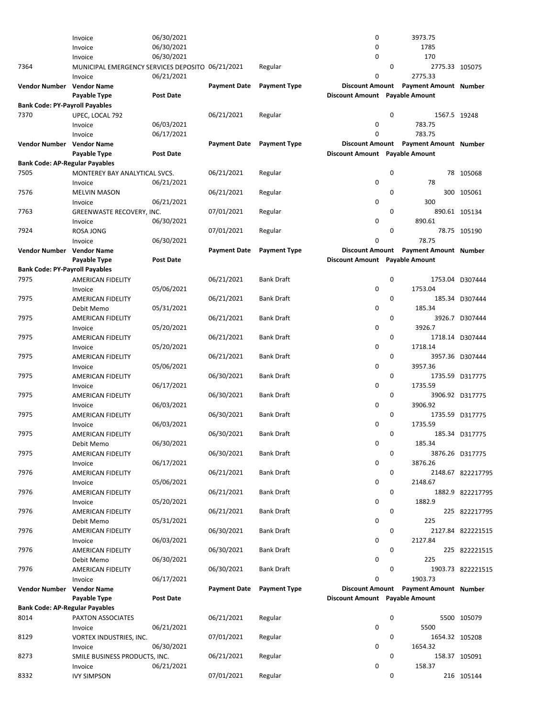|                                       | Invoice                                          | 06/30/2021 |                     |                     | 0                              | 3973.75                               |                   |  |
|---------------------------------------|--------------------------------------------------|------------|---------------------|---------------------|--------------------------------|---------------------------------------|-------------------|--|
|                                       | Invoice                                          | 06/30/2021 |                     |                     | 0                              | 1785                                  |                   |  |
|                                       | Invoice                                          | 06/30/2021 |                     |                     | $\pmb{0}$                      | 170                                   |                   |  |
| 7364                                  | MUNICIPAL EMERGENCY SERVICES DEPOSITO 06/21/2021 |            |                     | Regular             |                                | $\mathbf{0}$                          | 2775.33 105075    |  |
|                                       |                                                  |            |                     |                     | 0                              | 2775.33                               |                   |  |
|                                       | Invoice                                          | 06/21/2021 |                     |                     |                                |                                       |                   |  |
| <b>Vendor Number</b>                  | <b>Vendor Name</b>                               |            | <b>Payment Date</b> | <b>Payment Type</b> | <b>Discount Amount</b>         | <b>Payment Amount Number</b>          |                   |  |
|                                       | Payable Type                                     | Post Date  |                     |                     | Discount Amount Payable Amount |                                       |                   |  |
| <b>Bank Code: PY-Payroll Payables</b> |                                                  |            |                     |                     |                                |                                       |                   |  |
| 7370                                  | UPEC, LOCAL 792                                  |            | 06/21/2021          | Regular             |                                | $\mathbf 0$                           | 1567.5 19248      |  |
|                                       | Invoice                                          | 06/03/2021 |                     |                     | 0                              | 783.75                                |                   |  |
|                                       |                                                  | 06/17/2021 |                     |                     | $\mathbf 0$                    | 783.75                                |                   |  |
|                                       | Invoice                                          |            |                     |                     |                                |                                       |                   |  |
| Vendor Number                         | <b>Vendor Name</b>                               |            | <b>Payment Date</b> | <b>Payment Type</b> | <b>Discount Amount</b>         | <b>Payment Amount Number</b>          |                   |  |
|                                       | Payable Type                                     | Post Date  |                     |                     | Discount Amount Payable Amount |                                       |                   |  |
| <b>Bank Code: AP-Regular Payables</b> |                                                  |            |                     |                     |                                |                                       |                   |  |
| 7505                                  | MONTEREY BAY ANALYTICAL SVCS.                    |            | 06/21/2021          | Regular             |                                | $\mathbf 0$                           | 78 105068         |  |
|                                       | Invoice                                          | 06/21/2021 |                     |                     | $\pmb{0}$                      | 78                                    |                   |  |
| 7576                                  |                                                  |            | 06/21/2021          |                     |                                | $\mathbf 0$                           | 300 105061        |  |
|                                       | <b>MELVIN MASON</b>                              |            |                     | Regular             |                                |                                       |                   |  |
|                                       | Invoice                                          | 06/21/2021 |                     |                     | 0                              | 300                                   |                   |  |
| 7763                                  | GREENWASTE RECOVERY, INC.                        |            | 07/01/2021          | Regular             |                                | $\mathbf 0$                           | 890.61 105134     |  |
|                                       | Invoice                                          | 06/30/2021 |                     |                     | 0                              | 890.61                                |                   |  |
| 7924                                  | ROSA JONG                                        |            | 07/01/2021          | Regular             |                                | 0                                     | 78.75 105190      |  |
|                                       | Invoice                                          | 06/30/2021 |                     |                     | $\mathbf 0$                    | 78.75                                 |                   |  |
|                                       |                                                  |            |                     |                     |                                |                                       |                   |  |
| Vendor Number                         | <b>Vendor Name</b>                               |            | <b>Payment Date</b> | <b>Payment Type</b> | <b>Discount Amount</b>         | <b>Payment Amount Number</b>          |                   |  |
|                                       | Payable Type                                     | Post Date  |                     |                     | Discount Amount Payable Amount |                                       |                   |  |
| <b>Bank Code: PY-Payroll Payables</b> |                                                  |            |                     |                     |                                |                                       |                   |  |
| 7975                                  | AMERICAN FIDELITY                                |            | 06/21/2021          | <b>Bank Draft</b>   |                                | $\mathbf 0$                           | 1753.04 D307444   |  |
|                                       | Invoice                                          | 05/06/2021 |                     |                     | 0                              | 1753.04                               |                   |  |
| 7975                                  | <b>AMERICAN FIDELITY</b>                         |            | 06/21/2021          | <b>Bank Draft</b>   |                                | $\mathbf 0$                           | 185.34 D307444    |  |
|                                       |                                                  |            |                     |                     | 0                              | 185.34                                |                   |  |
|                                       | Debit Memo                                       | 05/31/2021 |                     |                     |                                |                                       |                   |  |
| 7975                                  | AMERICAN FIDELITY                                |            | 06/21/2021          | <b>Bank Draft</b>   |                                | 0                                     | 3926.7 D307444    |  |
|                                       | Invoice                                          | 05/20/2021 |                     |                     | 0                              | 3926.7                                |                   |  |
| 7975                                  | AMERICAN FIDELITY                                |            | 06/21/2021          | <b>Bank Draft</b>   |                                | $\mathbf 0$                           | 1718.14 D307444   |  |
|                                       | Invoice                                          | 05/20/2021 |                     |                     | $\pmb{0}$                      | 1718.14                               |                   |  |
| 7975                                  | AMERICAN FIDELITY                                |            | 06/21/2021          | <b>Bank Draft</b>   |                                | 0                                     | 3957.36 D307444   |  |
|                                       |                                                  |            |                     |                     |                                |                                       |                   |  |
|                                       | Invoice                                          | 05/06/2021 |                     |                     | 0                              | 3957.36                               |                   |  |
| 7975                                  | AMERICAN FIDELITY                                |            | 06/30/2021          | <b>Bank Draft</b>   |                                | 0                                     | 1735.59 D317775   |  |
|                                       | Invoice                                          | 06/17/2021 |                     |                     | 0                              | 1735.59                               |                   |  |
| 7975                                  | AMERICAN FIDELITY                                |            | 06/30/2021          | <b>Bank Draft</b>   |                                | $\mathbf 0$                           | 3906.92 D317775   |  |
|                                       | Invoice                                          | 06/03/2021 |                     |                     | 0                              | 3906.92                               |                   |  |
| 7975                                  |                                                  |            |                     | <b>Bank Draft</b>   |                                | $\mathbf 0$                           | 1735.59 D317775   |  |
|                                       | AMERICAN FIDELITY                                |            | 06/30/2021          |                     |                                |                                       |                   |  |
|                                       | Invoice                                          | 06/03/2021 |                     |                     | 0                              | 1735.59                               |                   |  |
| 7975                                  | AMERICAN FIDELITY                                |            | 06/30/2021          | <b>Bank Draft</b>   |                                | 0                                     | 185.34 D317775    |  |
|                                       | Debit Memo                                       | 06/30/2021 |                     |                     | 0                              | 185.34                                |                   |  |
| 7975                                  | AMERICAN FIDELITY                                |            | 06/30/2021          | <b>Bank Draft</b>   |                                | 0                                     | 3876.26 D317775   |  |
|                                       | Invoice                                          | 06/17/2021 |                     |                     | 0                              | 3876.26                               |                   |  |
|                                       |                                                  |            |                     |                     |                                |                                       |                   |  |
| 7976                                  | AMERICAN FIDELITY                                |            | 06/21/2021          | <b>Bank Draft</b>   |                                | 0                                     | 2148.67 822217795 |  |
|                                       | Invoice                                          | 05/06/2021 |                     |                     | 0                              | 2148.67                               |                   |  |
| 7976                                  | <b>AMERICAN FIDELITY</b>                         |            | 06/21/2021          | <b>Bank Draft</b>   |                                | 0                                     | 1882.9 822217795  |  |
|                                       | Invoice                                          | 05/20/2021 |                     |                     | 0                              | 1882.9                                |                   |  |
| 7976                                  | AMERICAN FIDELITY                                |            | 06/21/2021          | <b>Bank Draft</b>   |                                | 0                                     | 225 822217795     |  |
|                                       |                                                  | 05/31/2021 |                     |                     | $\pmb{0}$                      | 225                                   |                   |  |
|                                       | Debit Memo                                       |            |                     |                     |                                |                                       |                   |  |
| 7976                                  | AMERICAN FIDELITY                                |            | 06/30/2021          | <b>Bank Draft</b>   |                                | 0                                     | 2127.84 822221515 |  |
|                                       | Invoice                                          | 06/03/2021 |                     |                     | 0                              | 2127.84                               |                   |  |
| 7976                                  | AMERICAN FIDELITY                                |            | 06/30/2021          | <b>Bank Draft</b>   |                                | 0                                     | 225 822221515     |  |
|                                       | Debit Memo                                       | 06/30/2021 |                     |                     | $\pmb{0}$                      | 225                                   |                   |  |
| 7976                                  | AMERICAN FIDELITY                                |            | 06/30/2021          | <b>Bank Draft</b>   |                                | 0                                     | 1903.73 822221515 |  |
|                                       |                                                  |            |                     |                     |                                |                                       |                   |  |
|                                       | Invoice                                          | 06/17/2021 |                     |                     | 0                              | 1903.73                               |                   |  |
| Vendor Number                         | <b>Vendor Name</b>                               |            | <b>Payment Date</b> | <b>Payment Type</b> |                                | Discount Amount Payment Amount Number |                   |  |
|                                       | Payable Type                                     | Post Date  |                     |                     | Discount Amount Payable Amount |                                       |                   |  |
| <b>Bank Code: AP-Regular Payables</b> |                                                  |            |                     |                     |                                |                                       |                   |  |
| 8014                                  | PAXTON ASSOCIATES                                |            | 06/21/2021          | Regular             |                                | 0                                     | 5500 105079       |  |
|                                       | Invoice                                          | 06/21/2021 |                     |                     | 0                              | 5500                                  |                   |  |
|                                       |                                                  |            |                     |                     |                                |                                       |                   |  |
| 8129                                  | VORTEX INDUSTRIES, INC.                          |            | 07/01/2021          | Regular             |                                | 0                                     | 1654.32 105208    |  |
|                                       | Invoice                                          | 06/30/2021 |                     |                     | 0                              | 1654.32                               |                   |  |
| 8273                                  | SMILE BUSINESS PRODUCTS, INC.                    |            | 06/21/2021          | Regular             |                                | $\mathbf 0$                           | 158.37 105091     |  |
|                                       | Invoice                                          | 06/21/2021 |                     |                     | 0                              | 158.37                                |                   |  |
| 8332                                  | <b>IVY SIMPSON</b>                               |            | 07/01/2021          | Regular             |                                | $\mathbf 0$                           | 216 105144        |  |
|                                       |                                                  |            |                     |                     |                                |                                       |                   |  |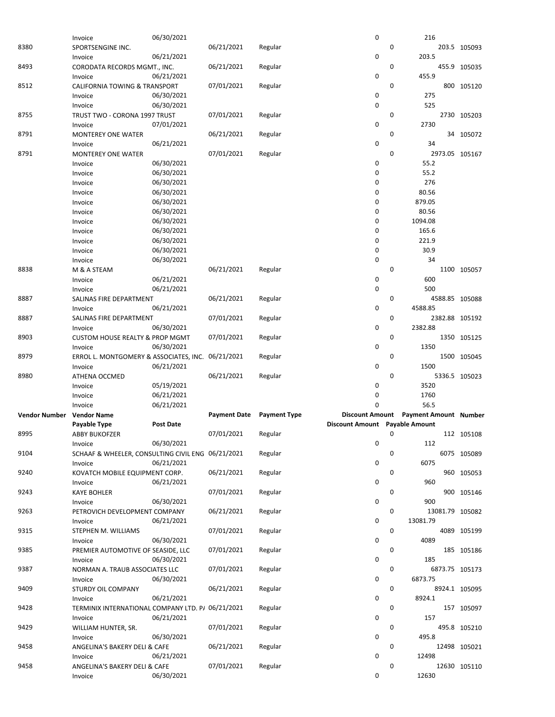|                      | Invoice                                           | 06/30/2021       |                     |                     | 0                              |   | 216                          |                |               |
|----------------------|---------------------------------------------------|------------------|---------------------|---------------------|--------------------------------|---|------------------------------|----------------|---------------|
| 8380                 | SPORTSENGINE INC.                                 |                  | 06/21/2021          | Regular             |                                | 0 |                              | 203.5 105093   |               |
|                      |                                                   |                  |                     |                     | $\mathbf 0$                    |   |                              |                |               |
|                      | Invoice                                           | 06/21/2021       |                     |                     |                                |   | 203.5                        |                |               |
| 8493                 | CORODATA RECORDS MGMT., INC.                      |                  | 06/21/2021          | Regular             |                                | 0 |                              | 455.9 105035   |               |
|                      | Invoice                                           | 06/21/2021       |                     |                     | $\mathbf 0$                    |   | 455.9                        |                |               |
| 8512                 | <b>CALIFORNIA TOWING &amp; TRANSPORT</b>          |                  | 07/01/2021          | Regular             |                                | 0 |                              | 800 105120     |               |
|                      |                                                   |                  |                     |                     |                                |   |                              |                |               |
|                      | Invoice                                           | 06/30/2021       |                     |                     | 0                              |   | 275                          |                |               |
|                      | Invoice                                           | 06/30/2021       |                     |                     | $\mathbf 0$                    |   | 525                          |                |               |
| 8755                 | TRUST TWO - CORONA 1997 TRUST                     |                  | 07/01/2021          | Regular             |                                | 0 |                              | 2730 105203    |               |
|                      |                                                   |                  |                     |                     | $\mathbf 0$                    |   | 2730                         |                |               |
|                      | Invoice                                           | 07/01/2021       |                     |                     |                                |   |                              |                |               |
| 8791                 | <b>MONTEREY ONE WATER</b>                         |                  | 06/21/2021          | Regular             |                                | 0 |                              | 34 105072      |               |
|                      | Invoice                                           | 06/21/2021       |                     |                     | $\mathbf 0$                    |   | 34                           |                |               |
| 8791                 | <b>MONTEREY ONE WATER</b>                         |                  | 07/01/2021          | Regular             |                                | 0 |                              | 2973.05 105167 |               |
|                      |                                                   |                  |                     |                     |                                |   |                              |                |               |
|                      | Invoice                                           | 06/30/2021       |                     |                     | 0                              |   | 55.2                         |                |               |
|                      | Invoice                                           | 06/30/2021       |                     |                     | $\mathbf 0$                    |   | 55.2                         |                |               |
|                      | Invoice                                           | 06/30/2021       |                     |                     | 0                              |   | 276                          |                |               |
|                      | Invoice                                           | 06/30/2021       |                     |                     | 0                              |   | 80.56                        |                |               |
|                      |                                                   |                  |                     |                     |                                |   |                              |                |               |
|                      | Invoice                                           | 06/30/2021       |                     |                     | 0                              |   | 879.05                       |                |               |
|                      | Invoice                                           | 06/30/2021       |                     |                     | $\mathbf 0$                    |   | 80.56                        |                |               |
|                      | Invoice                                           | 06/30/2021       |                     |                     | $\mathbf 0$                    |   | 1094.08                      |                |               |
|                      |                                                   | 06/30/2021       |                     |                     | 0                              |   | 165.6                        |                |               |
|                      | Invoice                                           |                  |                     |                     |                                |   |                              |                |               |
|                      | Invoice                                           | 06/30/2021       |                     |                     | 0                              |   | 221.9                        |                |               |
|                      | Invoice                                           | 06/30/2021       |                     |                     | 0                              |   | 30.9                         |                |               |
|                      | Invoice                                           | 06/30/2021       |                     |                     | 0                              |   | 34                           |                |               |
|                      |                                                   |                  |                     |                     |                                |   |                              |                |               |
| 8838                 | M & A STEAM                                       |                  | 06/21/2021          | Regular             |                                | 0 |                              | 1100 105057    |               |
|                      | Invoice                                           | 06/21/2021       |                     |                     | 0                              |   | 600                          |                |               |
|                      | Invoice                                           | 06/21/2021       |                     |                     | $\mathbf 0$                    |   | 500                          |                |               |
| 8887                 | SALINAS FIRE DEPARTMENT                           |                  | 06/21/2021          | Regular             |                                | 0 |                              | 4588.85 105088 |               |
|                      |                                                   |                  |                     |                     |                                |   |                              |                |               |
|                      | Invoice                                           | 06/21/2021       |                     |                     | $\mathbf 0$                    |   | 4588.85                      |                |               |
| 8887                 | SALINAS FIRE DEPARTMENT                           |                  | 07/01/2021          | Regular             |                                | 0 |                              | 2382.88 105192 |               |
|                      | Invoice                                           | 06/30/2021       |                     |                     | $\mathbf 0$                    |   | 2382.88                      |                |               |
|                      |                                                   |                  |                     |                     |                                | 0 |                              |                |               |
| 8903                 | <b>CUSTOM HOUSE REALTY &amp; PROP MGMT</b>        |                  | 07/01/2021          | Regular             |                                |   |                              | 1350 105125    |               |
|                      | Invoice                                           | 06/30/2021       |                     |                     | $\mathbf 0$                    |   | 1350                         |                |               |
|                      |                                                   |                  |                     |                     |                                |   |                              |                |               |
| 8979                 |                                                   |                  | 06/21/2021          |                     |                                | 0 |                              |                |               |
|                      | ERROL L. MONTGOMERY & ASSOCIATES, INC.            |                  |                     | Regular             |                                |   |                              | 1500 105045    |               |
|                      | Invoice                                           | 06/21/2021       |                     |                     | $\mathbf 0$                    |   | 1500                         |                |               |
| 8980                 | ATHENA OCCMED                                     |                  | 06/21/2021          | Regular             |                                | 0 |                              | 5336.5 105023  |               |
|                      | Invoice                                           | 05/19/2021       |                     |                     | 0                              |   | 3520                         |                |               |
|                      |                                                   |                  |                     |                     |                                |   |                              |                |               |
|                      | Invoice                                           | 06/21/2021       |                     |                     | $\mathbf 0$                    |   | 1760                         |                |               |
|                      | Invoice                                           | 06/21/2021       |                     |                     | $\mathbf 0$                    |   | 56.5                         |                |               |
| <b>Vendor Number</b> | <b>Vendor Name</b>                                |                  | <b>Payment Date</b> | <b>Payment Type</b> | <b>Discount Amount</b>         |   | <b>Payment Amount Number</b> |                |               |
|                      | Payable Type                                      | <b>Post Date</b> |                     |                     | Discount Amount Payable Amount |   |                              |                |               |
|                      |                                                   |                  |                     |                     |                                |   |                              |                |               |
| 8995                 | <b>ABBY BUKOFZER</b>                              |                  | 07/01/2021          | Regular             |                                | 0 |                              | 112 105108     |               |
|                      | Invoice                                           | 06/30/2021       |                     |                     | 0                              |   | 112                          |                |               |
| 9104                 | SCHAAF & WHEELER, CONSULTING CIVIL ENG 06/21/2021 |                  |                     | Regular             |                                | 0 |                              | 6075 105089    |               |
|                      |                                                   |                  |                     |                     |                                |   |                              |                |               |
|                      | Invoice                                           | 06/21/2021       |                     |                     | $\mathbf 0$                    |   | 6075                         |                |               |
| 9240                 | KOVATCH MOBILE EQUIPMENT CORP.                    |                  | 06/21/2021          | Regular             |                                | 0 |                              | 960 105053     |               |
|                      | Invoice                                           | 06/21/2021       |                     |                     | 0                              |   | 960                          |                |               |
| 9243                 | <b>KAYE BOHLER</b>                                |                  | 07/01/2021          | Regular             |                                | 0 |                              | 900 105146     |               |
|                      |                                                   |                  |                     |                     |                                |   |                              |                |               |
|                      | Invoice                                           | 06/30/2021       |                     |                     | 0                              |   | 900                          |                |               |
| 9263                 | PETROVICH DEVELOPMENT COMPANY                     |                  | 06/21/2021          | Regular             |                                | 0 | 13081.79 105082              |                |               |
|                      | Invoice                                           | 06/21/2021       |                     |                     | 0                              |   | 13081.79                     |                |               |
| 9315                 | STEPHEN M. WILLIAMS                               |                  | 07/01/2021          | Regular             |                                | 0 |                              | 4089 105199    |               |
|                      |                                                   |                  |                     |                     |                                |   |                              |                |               |
|                      | Invoice                                           | 06/30/2021       |                     |                     | 0                              |   | 4089                         |                |               |
| 9385                 | PREMIER AUTOMOTIVE OF SEASIDE, LLC                |                  | 07/01/2021          | Regular             |                                | 0 |                              |                | 185 105186    |
|                      | Invoice                                           | 06/30/2021       |                     |                     | $\mathbf 0$                    |   | 185                          |                |               |
|                      |                                                   |                  |                     |                     |                                | 0 |                              |                |               |
| 9387                 | NORMAN A. TRAUB ASSOCIATES LLC                    |                  | 07/01/2021          | Regular             |                                |   |                              | 6873.75 105173 |               |
|                      | Invoice                                           | 06/30/2021       |                     |                     | 0                              |   | 6873.75                      |                |               |
| 9409                 | STURDY OIL COMPANY                                |                  | 06/21/2021          | Regular             |                                | 0 |                              |                | 8924.1 105095 |
|                      | Invoice                                           | 06/21/2021       |                     |                     | 0                              |   | 8924.1                       |                |               |
|                      |                                                   |                  |                     |                     |                                |   |                              |                |               |
| 9428                 | TERMINIX INTERNATIONAL COMPANY LTD. P/ 06/21/2021 |                  |                     | Regular             |                                | 0 |                              | 157 105097     |               |
|                      | Invoice                                           | 06/21/2021       |                     |                     | 0                              |   | 157                          |                |               |
| 9429                 | WILLIAM HUNTER, SR.                               |                  | 07/01/2021          | Regular             |                                | 0 |                              | 495.8 105210   |               |
|                      | Invoice                                           | 06/30/2021       |                     |                     | $\mathbf 0$                    |   | 495.8                        |                |               |
|                      |                                                   |                  |                     |                     |                                |   |                              |                |               |
| 9458                 | ANGELINA'S BAKERY DELI & CAFE                     |                  | 06/21/2021          | Regular             |                                | 0 |                              | 12498 105021   |               |
|                      | Invoice                                           | 06/21/2021       |                     |                     | $\mathbf 0$                    |   | 12498                        |                |               |
| 9458                 | ANGELINA'S BAKERY DELI & CAFE                     |                  | 07/01/2021          | Regular             |                                | 0 |                              |                | 12630 105110  |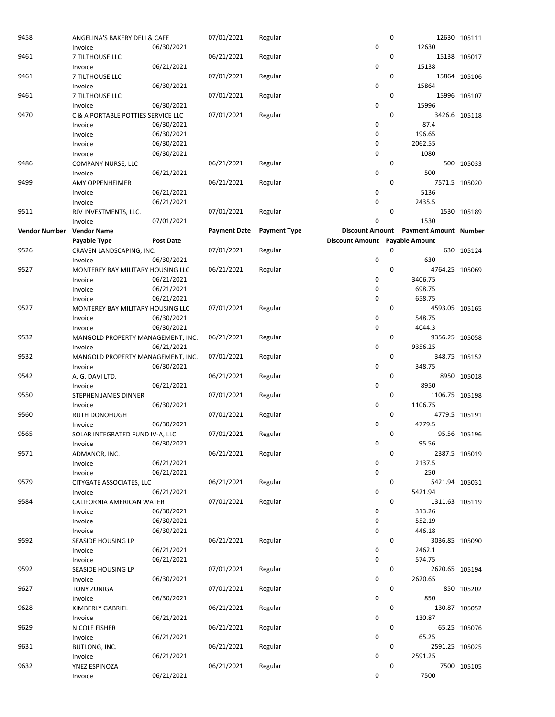| 9458                 | ANGELINA'S BAKERY DELI & CAFE      |            | 07/01/2021          | Regular             |                                | 0           |                              | 12630 105111  |
|----------------------|------------------------------------|------------|---------------------|---------------------|--------------------------------|-------------|------------------------------|---------------|
|                      | Invoice                            | 06/30/2021 |                     |                     | 0                              |             | 12630                        |               |
| 9461                 | 7 TILTHOUSE LLC                    |            | 06/21/2021          | Regular             |                                | 0           |                              | 15138 105017  |
|                      | Invoice                            | 06/21/2021 |                     |                     | 0                              |             | 15138                        |               |
| 9461                 | 7 TILTHOUSE LLC                    |            | 07/01/2021          | Regular             |                                | 0           |                              | 15864 105106  |
|                      | Invoice                            | 06/30/2021 |                     |                     | $\mathbf 0$                    |             | 15864                        |               |
| 9461                 | 7 TILTHOUSE LLC                    |            | 07/01/2021          | Regular             |                                | 0           |                              | 15996 105107  |
|                      | Invoice                            | 06/30/2021 |                     |                     | 0                              |             | 15996                        |               |
| 9470                 | C & A PORTABLE POTTIES SERVICE LLC |            | 07/01/2021          | Regular             |                                | 0           |                              | 3426.6 105118 |
|                      | Invoice                            | 06/30/2021 |                     |                     | 0                              |             | 87.4                         |               |
|                      | Invoice                            | 06/30/2021 |                     |                     | 0                              |             | 196.65                       |               |
|                      | Invoice                            | 06/30/2021 |                     |                     | 0                              |             | 2062.55                      |               |
|                      | Invoice                            | 06/30/2021 |                     |                     | 0                              |             | 1080                         |               |
| 9486                 | <b>COMPANY NURSE, LLC</b>          |            | 06/21/2021          | Regular             |                                | 0           |                              | 500 105033    |
|                      | Invoice                            | 06/21/2021 |                     |                     | $\mathbf 0$                    |             | 500                          |               |
| 9499                 | <b>AMY OPPENHEIMER</b>             |            | 06/21/2021          | Regular             |                                | 0           |                              | 7571.5 105020 |
|                      | Invoice                            | 06/21/2021 |                     |                     | 0                              |             | 5136                         |               |
| 9511                 | Invoice                            | 06/21/2021 |                     | Regular             | 0                              | 0           | 2435.5                       | 1530 105189   |
|                      | RJV INVESTMENTS, LLC.<br>Invoice   | 07/01/2021 | 07/01/2021          |                     | 0                              |             | 1530                         |               |
| <b>Vendor Number</b> | <b>Vendor Name</b>                 |            | <b>Payment Date</b> | <b>Payment Type</b> | <b>Discount Amount</b>         |             | <b>Payment Amount Number</b> |               |
|                      | Payable Type                       | Post Date  |                     |                     | Discount Amount Payable Amount |             |                              |               |
| 9526                 | CRAVEN LANDSCAPING, INC.           |            | 07/01/2021          | Regular             |                                | 0           |                              | 630 105124    |
|                      | Invoice                            | 06/30/2021 |                     |                     | 0                              |             | 630                          |               |
| 9527                 | MONTEREY BAY MILITARY HOUSING LLC  |            | 06/21/2021          | Regular             |                                | 0           | 4764.25 105069               |               |
|                      | Invoice                            | 06/21/2021 |                     |                     | 0                              |             | 3406.75                      |               |
|                      | Invoice                            | 06/21/2021 |                     |                     | 0                              |             | 698.75                       |               |
|                      | Invoice                            | 06/21/2021 |                     |                     | 0                              |             | 658.75                       |               |
| 9527                 | MONTEREY BAY MILITARY HOUSING LLC  |            | 07/01/2021          | Regular             |                                | 0           | 4593.05 105165               |               |
|                      | Invoice                            | 06/30/2021 |                     |                     | 0                              |             | 548.75                       |               |
|                      | Invoice                            | 06/30/2021 |                     |                     | 0                              |             | 4044.3                       |               |
| 9532                 | MANGOLD PROPERTY MANAGEMENT, INC.  |            | 06/21/2021          | Regular             |                                | 0           | 9356.25 105058               |               |
|                      | Invoice                            | 06/21/2021 |                     |                     | 0                              |             | 9356.25                      |               |
| 9532                 | MANGOLD PROPERTY MANAGEMENT, INC.  |            | 07/01/2021          | Regular             |                                | 0           |                              | 348.75 105152 |
|                      | Invoice                            | 06/30/2021 |                     |                     | 0                              |             | 348.75                       |               |
| 9542                 | A. G. DAVI LTD.                    |            | 06/21/2021          | Regular             |                                | 0           |                              | 8950 105018   |
|                      | Invoice                            | 06/21/2021 |                     |                     | 0                              |             | 8950                         |               |
| 9550                 | STEPHEN JAMES DINNER               |            | 07/01/2021          | Regular             |                                | 0           | 1106.75 105198               |               |
|                      | Invoice                            | 06/30/2021 |                     |                     | 0                              |             | 1106.75                      |               |
| 9560                 | RUTH DONOHUGH                      |            | 07/01/2021          | Regular             |                                | $\mathbf 0$ |                              | 4779.5 105191 |
|                      | Invoice                            | 06/30/2021 |                     |                     | $\mathbf 0$                    |             | 4779.5                       |               |
| 9565                 | SOLAR INTEGRATED FUND IV-A, LLC    |            | 07/01/2021          | Regular             |                                | 0           |                              | 95.56 105196  |
| 9571                 | Invoice<br>ADMANOR, INC.           | 06/30/2021 | 06/21/2021          | Regular             | 0                              | 0           | 95.56                        | 2387.5 105019 |
|                      | Invoice                            | 06/21/2021 |                     |                     | 0                              |             | 2137.5                       |               |
|                      | Invoice                            | 06/21/2021 |                     |                     | 0                              |             | 250                          |               |
| 9579                 | CITYGATE ASSOCIATES, LLC           |            | 06/21/2021          | Regular             |                                | 0           | 5421.94 105031               |               |
|                      | Invoice                            | 06/21/2021 |                     |                     | 0                              |             | 5421.94                      |               |
| 9584                 | CALIFORNIA AMERICAN WATER          |            | 07/01/2021          | Regular             |                                | 0           | 1311.63 105119               |               |
|                      | Invoice                            | 06/30/2021 |                     |                     | 0                              |             | 313.26                       |               |
|                      | Invoice                            | 06/30/2021 |                     |                     | 0                              |             | 552.19                       |               |
|                      | Invoice                            | 06/30/2021 |                     |                     | 0                              |             | 446.18                       |               |
| 9592                 | SEASIDE HOUSING LP                 |            | 06/21/2021          | Regular             |                                | 0           | 3036.85 105090               |               |
|                      | Invoice                            | 06/21/2021 |                     |                     | 0                              |             | 2462.1                       |               |
|                      | Invoice                            | 06/21/2021 |                     |                     | 0                              |             | 574.75                       |               |
| 9592                 | SEASIDE HOUSING LP                 |            | 07/01/2021          | Regular             |                                | 0           | 2620.65 105194               |               |
|                      | Invoice                            | 06/30/2021 |                     |                     | 0                              |             | 2620.65                      |               |
| 9627                 | <b>TONY ZUNIGA</b>                 |            | 07/01/2021          | Regular             |                                | 0           |                              | 850 105202    |
|                      | Invoice                            | 06/30/2021 |                     |                     | 0                              |             | 850                          |               |
| 9628                 | KIMBERLY GABRIEL                   |            | 06/21/2021          | Regular             |                                | 0           |                              | 130.87 105052 |
|                      | Invoice                            | 06/21/2021 |                     |                     | 0                              |             | 130.87                       |               |
| 9629                 | NICOLE FISHER                      |            | 06/21/2021          | Regular             |                                | 0           |                              | 65.25 105076  |
|                      | Invoice                            | 06/21/2021 |                     |                     | 0                              |             | 65.25                        |               |
| 9631                 | BUTLONG, INC.                      | 06/21/2021 | 06/21/2021          | Regular             | $\mathbf 0$                    | 0           | 2591.25 105025<br>2591.25    |               |
| 9632                 | Invoice                            |            | 06/21/2021          | Regular             |                                | 0           |                              | 7500 105105   |
|                      | YNEZ ESPINOZA<br>Invoice           | 06/21/2021 |                     |                     | 0                              |             | 7500                         |               |
|                      |                                    |            |                     |                     |                                |             |                              |               |